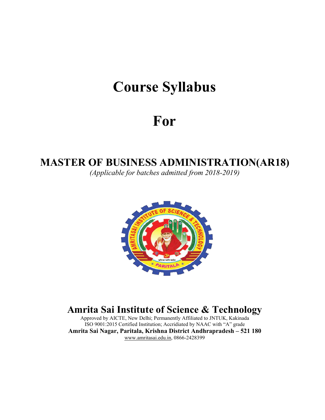# **Course Syllabus**

# **For**

## **MASTER OF BUSINESS ADMINISTRATION(AR18)**

*(Applicable for batches admitted from 2018-2019)*



## **Amrita Sai Institute of Science & Technology**

Approved by AICTE, New Delhi; Permanently Affiliated to JNTUK, Kakinada ISO 9001:2015 Certified Institution; Accridiated by NAAC with "A" grade **Amrita Sai Nagar,Paritala, Krishna District Andhrapradesh – 521 180** [www.amritasai.edu.in,](http://www.amritasai.edu.in) 0866-2428399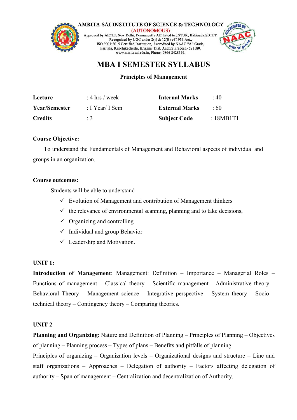

## **MBA I SEMESTER SYLLABUS**

## **Principles of Management**

| Lecture        | $: 4 \text{ hrs} / \text{week}$ | <b>Internal Marks</b> | $\cdot$ 40 |
|----------------|---------------------------------|-----------------------|------------|
| Year/Semester  | : I Year/ I Sem                 | <b>External Marks</b> | .60        |
| <b>Credits</b> | $\pm 3$                         | <b>Subject Code</b>   | : 18MB1T1  |

#### **Course Objective:**

To understand the Fundamentals of Management and Behavioral aspects of individual and groups in an organization.

#### **Course outcomes:**

Students will be able to understand

- $\checkmark$  Evolution of Management and contribution of Management thinkers
- $\checkmark$  the relevance of e[nvironmental](http://amritasai.org/1.html) scanning, planning and to take decisions,
- $\checkmark$  Organizing and controlling
- $\checkmark$  Individual and group Behavior
- $\checkmark$  Leadership and Motivation.

## **UNIT 1:**

**Introduction of Management**: Management: Definition – Importance – Managerial Roles – Functions of management – Classical theory – Scientific management - Administrative theory – Behavioral Theory – Management science – Integrative perspective – System theory – Socio – technical theory – Contingency theory – Comparing theories.

## **UNIT 2**

**Planning and Organizing:** Nature and Definition of Planning – Principles of Planning – Objectives of planning – Planning process – Types of plans – Benefits and pitfalls of planning.

Principles of organizing – Organization levels – Organizational designs and structure – Line and staff organizations – Approaches – Delegation of authority – Factors affecting delegation of authority – Span of management – Centralization and decentralization of Authority.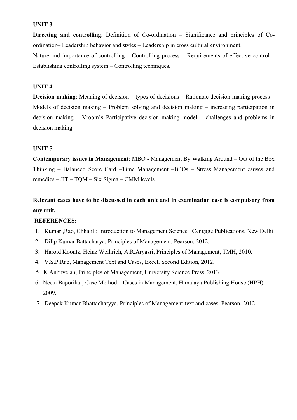#### **UNIT 3**

**Directing and controlling**: Definition of Co-ordination – Significance and principles of Co ordination– Leadership behavior and styles – Leadership in cross cultural environment. Nature and importance of controlling – Controlling process – Requirements of effective control – Establishing controlling system – Controlling techniques.

#### **UNIT 4**

**Decision making:** Meaning of decision – types of decisions – Rationale decision making process – Models of decision making – Problem solving and decision making – increasing participation in decision making – Vroom's Participative decision making model – challenges and problems in decision making

#### **UNIT 5**

**Contemporary issues in Management**: MBO - Management By Walking Around – Out of the Box Thinking – Balanced Score Card –Time Management –BPOs – Stress Management causes and remedies – JIT – TQM – Six Sigma – CMM levels

**Relevant cases have to be discussed in each unit and in examination case iscompulsory from any unit.**

#### **REFERENCES:**

- 1. Kumar ,Rao, Chhalill: Introduction to Management Science . Cengage Publications, New Delhi
- 2. Dilip Kumar Battacharya, Principles of Management, Pearson, 2012.
- 3. Harold Koontz, Heinz Weihrich, A.R.Aryasri, Principles of Management, TMH, 2010.
- 4. V.S.P.Rao, Management Text and Cases, Excel, Second Edition, 2012.
- 5. K.Anbuvelan, Principles of Management, University Science Press, 2013.
- 6. Neeta Baporikar, Case Method Cases in Management, Himalaya Publishing House (HPH) 2009.
- 7. Deepak Kumar Bhattacharyya, Principles ofManagement-text and cases, Pearson, 2012.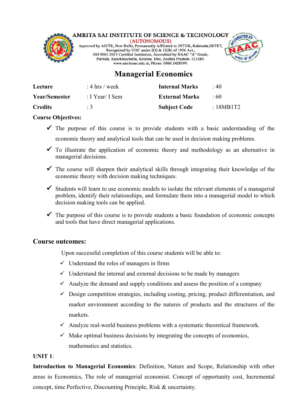

## AMRITA SAI INSTITUTE OF SCIENCE & TECHNOLOGY

Approved by AICTE, New Delhi, Permanently Affiliated to JNTUK, Kakinada, SBTET,<br>Recognized by UGC under 2(f) & 12(B) of 1956 Act.,<br>ISO 9001:2015 Certified Institution, Accredited by NAAC "A" Grade, Paritala, Kanchikacherla, Krishna Dist, Andhra Pradesh- 521180. www.amritasai.edu.in, Phone: 0866 2428399.



## **Managerial Economics**

| Lecture              | : 4 hrs / week  | <b>Internal Marks</b> | $\cdot$ 40 |
|----------------------|-----------------|-----------------------|------------|
| <b>Year/Semester</b> | : I Year/ I Sem | <b>External Marks</b> | $\cdot$ 60 |
| <b>Credits</b>       | $\cdot$ 3       | <b>Subject Code</b>   | :18MB1T2   |

## **Course Objectives:**

- $\checkmark$  The purpose of this course is to provide students with a basic understanding of the economic theory and analytical tools that can be used in decision making problems.
- $\checkmark$  To illustrate the application of economic theory and methodology as an alternative in managerial decisions.
- $\checkmark$  The course will sharpen their analytical skills through integrating their knowledge of the economic theory with decision making techniques.
- $\checkmark$  Students will learn to use economic models to isolate the relevant elements of a managerial problem, identify their relationships, and formulate them into a managerial model to which decision making tools can be applied.
- $\checkmark$  The purpose of this course is to provide students a basic foundation of economic concepts and tools that have direct managerial [applications.](http://amritasai.org/1.html)

## **Course outcomes:**

Upon successful completion of this course students will be able to:

- $\checkmark$  Understand the roles of managers in firms
- $\checkmark$  Understand the internal and external decisions to be made by managers
- $\checkmark$  Analyze the demand and supply conditions and assess the position of a company
- $\checkmark$  Design competition strategies, including costing, pricing, product differentiation, and market environment according to the natures of products and the structures of the markets.
- $\checkmark$  Analyze real-world business problems with a systematic theoretical framework.
- $\checkmark$  Make optimal business decisions by integrating the concepts of economics, mathematics and statistics.

## **UNIT 1**:

**Introduction to Managerial Economics**: Definition, Nature and Scope, Relationship with other areas in Economics, The role of managerial economist. Concept of opportunity cost, Incremental concept, time Perfective, Discounting Principle, Risk & uncertainty.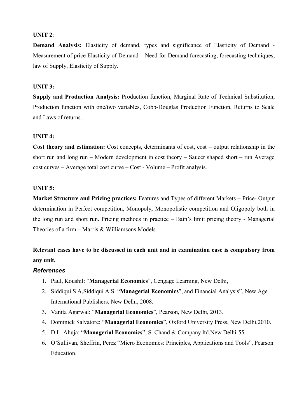#### **UNIT 2**:

**Demand Analysis:** Elasticity of demand, types and significance of Elasticity of Demand - Measurement of price Elasticity of Demand – Need for Demand forecasting, forecasting techniques, law of Supply, Elasticity of Supply.

#### **UNIT 3:**

**Supply and Production Analysis:** Production function, Marginal Rate of Technical Substitution, Production function with one/two variables, Cobb-Douglas Production Function, Returns to Scale and Laws of returns.

#### **UNIT 4:**

**Cost theory and estimation:** Cost concepts, determinants of cost, cost – output relationship in the short run and long run – Modern development in cost theory – Saucer shaped short – run Average cost curves – Average total cost curve – Cost - Volume – Profit analysis.

#### **UNIT 5:**

**Market Structure and Pricing practices:** Features and Types of different Markets – Price- Output determination in Perfect competition, Monopoly, [Monopolistic](http://amritasai.org/1.html) competition and Oligopoly both in the long run and short run. Pricing methods in practice – Bain's limit pricing theory - Managerial Theories of a firm – Marris  $&$  Williamsons Models

## **Relevant cases have to be discussed in each unit and in examination case iscompulsory from any unit.**

#### *References*

- 1. Paul, Koushil: "**Managerial Economics**", Cengage Learning, New Delhi,
- 2. Siddiqui S A,Siddiqui A S: "**Managerial Economics**", and Financial Analysis", New Age International Publishers, New Delhi, 2008.
- 3. Vanita Agarwal: "**Managerial Economics**", Pearson, New Delhi, 2013.
- 4. Dominick Salvatore: "**Managerial Economics**", Oxford University Press, New Delhi,2010.
- 5. D.L. Ahuja: "**Managerial Economics**", S. Chand & Company ltd,New Delhi-55.
- 6. O'Sullivan, Sheffrin, Perez "Micro Economics: Principles, Applications and Tools", Pearson Education.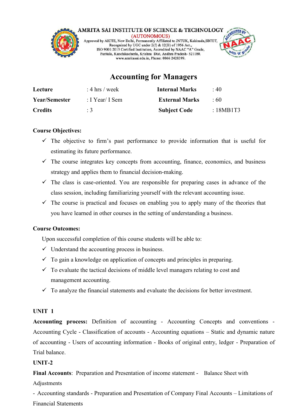

## **Accounting for Managers**

| Lecture              | : 4 hrs / week  | <b>Internal Marks</b> | $\cdot$ 40 |
|----------------------|-----------------|-----------------------|------------|
| <b>Year/Semester</b> | : I Year/ I Sem | <b>External Marks</b> | $\cdot$ 60 |
| <b>Credits</b>       | $\therefore$ 3  | <b>Subject Code</b>   | : 18MB1T3  |

## **Course Objectives:**

- $\checkmark$  The objective to firm's past performance to provide information that is useful for estimating its future performance.
- $\checkmark$  The course integrates key concepts from accounting, finance, economics, and business strategy and applies them to financial decision-making.
- $\checkmark$  The class is case-oriented. You are responsible for preparing cases in advance of the class session, including familiarizing yourself with the relevant accounting issue.
- $\checkmark$  The course is practical and focuses on enabling you to apply many of the theories that you have learned in other courses in the setting of [understandin](http://amritasai.org/1.html)g a business.

#### **Course Outcomes:**

Upon successful completion of this course students will be able to:

- $\checkmark$  Understand the accounting process in business.
- $\checkmark$  To gain a knowledge on application of concepts and principles in preparing.
- $\checkmark$  To evaluate the tactical decisions of middle level managers relating to cost and management accounting.
- $\checkmark$  To analyze the financial statements and evaluate the decisions for better investment.

#### **UNIT 1**

Accounting process: Definition of accounting - Accounting Concepts and conventions -<br>Accounting Cycle - Classification of accounts - Accounting equations – Static and dynamic nature of accounting - Users of accounting information - Books of original entry, ledger - Preparation of Trial balance.

## **UNIT-2**

**Final Accounts**: Preparation and Presentation of income statement - Balance Sheet with Adjustments

- Accounting standards - Preparation and Presentation of Company Final Accounts – Limitations of Financial Statements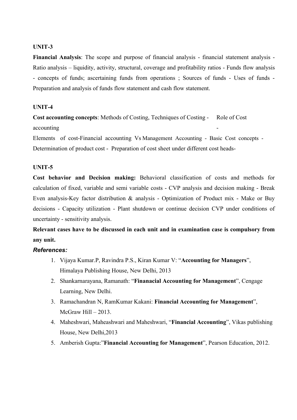#### **UNIT-3**

**Financial Analysis**: The scope and purpose of financial analysis - financial statement analysis - Ratio analysis – liquidity, activity, structural, coverage and profitability ratios - Funds flow analysis - concepts of funds; ascertaining funds from operations ; Sources of funds - Uses of funds - Preparation and analysis of funds flow statement and cash flow statement.

#### **UNIT-4**

**Cost accounting concepts:** Methods of Costing, Techniques of Costing - Role of Cost accounting

Elements of cost-Financial accounting Vs Management Accounting - Basic Cost concepts - Determination of product cost - Preparation of cost sheet under different cost heads-

#### **UNIT-5**

Cost behavior and Decision making: Behavioral classification of costs and methods for calculation of fixed, variable and semi variable costs - CVP analysis and decision making - Break Even analysis-Key factor distribution & analysis - [Optimization](http://amritasai.org/1.html) of Product mix - Make or Buy decisions - Capacity utilization - Plant shutdown or continue decision CVP under conditions of uncertainty - sensitivity analysis.

**Relevant cases have to be discussed in each unit and in examination case iscompulsory from any unit.**

#### *References:*

- 1. Vijaya Kumar.P, Ravindra P.S., Kiran Kumar V: "**Accounting for Managers**", Himalaya Publishing House, New Delhi, 2013
- 2. Shankarnarayana, Ramanath: "**Finanacial Accounting for Management**", Cengage Learning, New Delhi.
- 3. Ramachandran N, RamKumar Kakani: **Financial Accounting for Management**",  $McGraw Hill - 2013.$
- 4. Maheshwari, Maheashwari and Maheshwari, "**Financial Accounting**", Vikas publishing House, New Delhi,2013
- 5. Amberish Gupta:"**Financial Accounting for Management**", Pearson Education, 2012.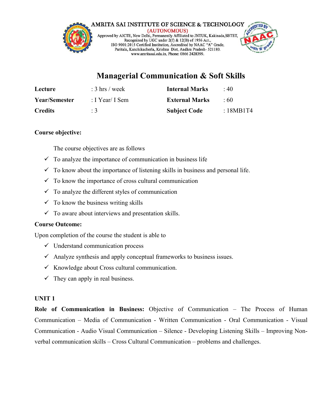

## **Managerial Communication & Soft Skills**

| Lecture              | $: 3 \text{ hrs} / \text{week}$ | <b>Internal Marks</b> | $\cdot$ 40 |
|----------------------|---------------------------------|-----------------------|------------|
| <b>Year/Semester</b> | : I Year/ I Sem                 | <b>External Marks</b> | $\pm 60$   |
| <b>Credits</b>       |                                 | <b>Subject Code</b>   | :18MB1T4   |

## **Course objective:**

The course objectives are as follows

- $\checkmark$  To analyze the importance of communication in business life
- $\checkmark$  To know about the importance of listening skills in business and personal life.
- $\checkmark$  To know the importance of cross cultural communication
- $\checkmark$  To analyze the different styles of communication
- $\checkmark$  To know the business writing skills
- $\checkmark$  To aware about interviews and presentation skills.

## **Course Outcome:**

Upon completion of the course the student is able to

- $\checkmark$  Understand communication process
- $\checkmark$  Analyze synthesis and apply conceptual frameworks to business issues.
- $\checkmark$  Knowledge about Cross cultural [communication.](http://amritasai.org/1.html)
- $\checkmark$  They can apply in real business.

## **UNIT 1**

**Role of Communication in Business:** Objective of Communication – The Process of Human Communication – Media of Communication - Written Communication - Oral Communication - Visual Communication - Audio Visual Communication – Silence - Developing Listening Skills – Improving Non verbal communication skills – Cross Cultural Communication – problems and challenges.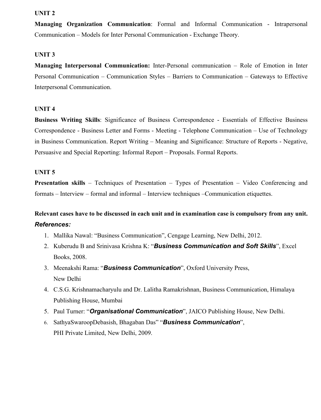#### **UNIT 2**

**Managing Organization Communication**: Formal and Informal Communication - Intrapersonal Communication – Models for Inter Personal Communication - Exchange Theory.

#### **UNIT 3**

**Managing Interpersonal Communication:** Inter-Personal communication – Role of Emotion in Inter Personal Communication – Communication Styles – Barriers to Communication – Gateways to Effective Interpersonal Communication.

#### **UNIT 4**

**Business Writing Skills**: Significance of Business Correspondence - Essentials of Effective Business Correspondence - Business Letter and Forms - Meeting - Telephone Communication – Use of Technology in Business Communication. Report Writing – Meaning and Significance: Structure of Reports - Negative, Persuasive and Special Reporting: Informal Report – Proposals. Formal Reports.

#### **UNIT 5**

**Presentation skills** – Techniques of Presentation – Types of Presentation – Video Conferencing and formats – Interview – formal and informal – Interview techniques –Communication etiquettes.

## **Relevant cases have to be discussed in each unitand in examination case is compulsory from any unit.** *References:*

- 1. Mallika Nawal:"Business Communication", Cengage Learning, New Delhi, 2012.
- 2. Kuberudu B and Srinivasa Krishna K: "*Business Communication and Soft Skills*", Excel Books, 2008.
- 3. Meenakshi Rama: "*Business [Communication](http://amritasai.org/1.html)*", Oxford University Press, New Delhi
- 4. C.S.G. Krishnamacharyulu and Dr. Lalitha Ramakrishnan, Business Communication, Himalaya Publishing House, Mumbai
- 5. Paul Turner: "*Organisational Communication*", JAICO Publishing House, New Delhi.
- 6. SathyaSwaroopDebasish, Bhagaban Das" "*Business Communication*", PHI Private Limited, New Delhi, 2009.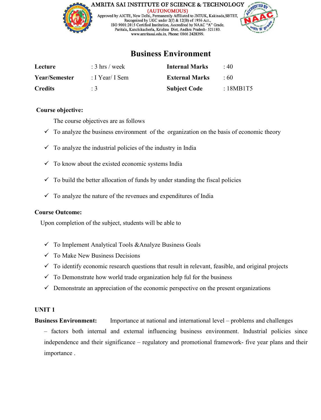

## **Business Environment**

| Lecture              | $: 3 \text{ hrs} / \text{week}$ | <b>Internal Marks</b> | $\cdot$ 40  |
|----------------------|---------------------------------|-----------------------|-------------|
| <b>Year/Semester</b> | : I Year/ I Sem                 | <b>External Marks</b> | .60         |
| <b>Credits</b>       | $\therefore$ 3                  | <b>Subject Code</b>   | : $18MB1T5$ |

#### **Course objective:**

The course objectives are as follows

- $\checkmark$  To analyze the business environment of the organization on the basis of economic theory
- $\checkmark$  To analyze the industrial policies of the industry in India
- $\checkmark$  To know about the existed economic systems India
- $\checkmark$  To build the better allocation of funds by under standing the fiscal policies
- $\checkmark$  To analyze the nature of the revenues and expenditures of India

#### **Course Outcome:**

Upon completion of the subject, students will be able to

- To Implement Analytical Tools [&Analyze](http://amritasai.org/1.html) Business Goals
- $\checkmark$  To Make New Business Decisions
- $\checkmark$  To identify economic research questions that result in relevant, feasible, and original projects
- $\checkmark$  To Demonstrate how world trade organization help ful for the business
- $\checkmark$  Demonstrate an appreciation of the economic perspective on the present organizations

#### **UNIT 1**

**Business Environment:** Importance at national and international level – problems and challenges

– factors both internal and external influencing business environment. Industrial policies since independence and their significance – regulatory and promotional framework- five year plans and their importance .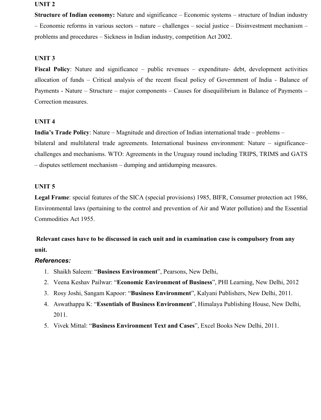#### **UNIT 2**

**Structure of Indian economy:** Nature and significance – Economic systems – structure of Indian industry – Economic reforms in various sectors – nature – challenges – social justice – Disinvestment mechanism – problems and procedures – Sickness in Indian industry, competition Act 2002.

#### **UNIT 3**

**Fiscal Policy**: Nature and significance – public revenues – expenditure- debt, development activities allocation of funds – Critical analysis of the recent fiscal policy of Government of India - Balance of Payments - Nature – Structure – major components – Causes for disequilibrium in Balance of Payments – Correction measures.

#### **UNIT 4**

**India's Trade Policy**: Nature – Magnitude and direction of Indian international trade – problems – bilateral and multilateral trade agreements. International business environment: Nature – significance– challenges and mechanisms. WTO: Agreements in the Uruguay round including TRIPS, TRIMS and GATS – disputes settlement mechanism – dumping and antidumping measures.

#### **UNIT 5**

**Legal Frame**: special features of the SICA (special provisions) 1985, BIFR, Consumer protection act 1986, Environmental laws (pertaining to the [controland](http://amritasai.org/1.html) prevention of Air and Water pollution) and the Essential Commodities Act 1955.

## **Relevant cases have to be discussed in each unit and in examination case is compulsory from any unit.**

#### *References:*

- 1. Shaikh Saleem: "**Business Environment**", Pearsons, New Delhi,
- 2. Veena Keshav Pailwar: "**Economic Environment of Business**", PHI Learning, New Delhi, 2012
- 3. Rosy Joshi, Sangam Kapoor: "**Business Environment**", Kalyani Publishers, New Delhi, 2011.
- 4. Aswathappa K: "Essentials of Business Environment", Himalaya Publishing House, New Delhi, 2011.
- 5. Vivek Mittal: "**Business Environment Text and Cases**", Excel Books New Delhi, 2011.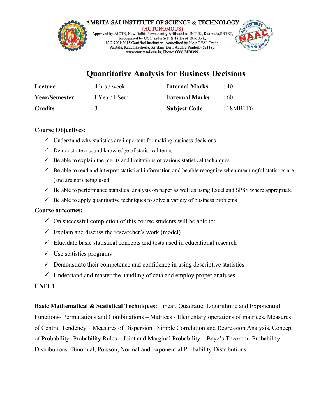

## **Quantitative Analysis for Business Decisions**

| Lecture              | : 4 hrs / week  | <b>Internal Marks</b> | $\cdot$ 40  |
|----------------------|-----------------|-----------------------|-------------|
| <b>Year/Semester</b> | : I Year/ I Sem | <b>External Marks</b> | .60         |
| <b>Credits</b>       |                 | <b>Subject Code</b>   | : $18MB1T6$ |

#### **Course Objectives:**

- $\checkmark$  Understand why statistics are important for making business decisions
- $\checkmark$  Demonstrate a sound knowledge of statistical terms
- $\checkmark$  Be able to explain the merits and limitations of various statistical techniques
- $\checkmark$  Be able to read and interpret statistical information and be able recognize when meaningful statistics are (and are not) being used
- $\checkmark$  Be able to performance statistical analysis on paper as well as using Excel and SPSS where appropriate
- $\checkmark$  Be able to apply quantitative techniques to solve a variety of business problems

#### **Course outcomes:**

- $\checkmark$  On successful completion of this course students will be able to:
- $\checkmark$  Explain and discuss the researcher's work (model)
- $\checkmark$  Elucidate basic statistical concepts and tests used in educational research
- $\checkmark$  Use statistics programs
- $\checkmark$  Demonstrate their competence and [confidence](http://amritasai.org/1.html) in using descriptive statistics
- $\checkmark$  Understand and master the handling of data and employ proper analyses

## **UNIT 1**

**Basic Mathematical & Statistical Techniques:** Linear, Quadratic, Logarithmic and Exponential Functions- Permutations and Combinations – Matrices - Elementary operations of matrices. Measures of Central Tendency – Measures of Dispersion –Simple Correlation and Regression Analysis. Concept of Probability- Probability Rules – Joint and Marginal Probability – Baye's Theorem- Probability Distributions- Binomial, Poisson, Normal and Exponential Probability Distributions.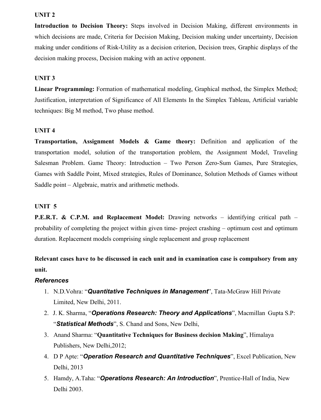#### **UNIT 2**

**Introduction to Decision Theory:** Steps involved in Decision Making, different environments in which decisions are made, Criteria for Decision Making, Decision making under uncertainty, Decision making under conditions of Risk-Utility as a decision criterion, Decision trees, Graphic displays of the decision making process, Decision making with an active opponent.

#### **UNIT 3**

**Linear Programming:** Formation of mathematical modeling, Graphical method, the Simplex Method; Justification, interpretation of Significance of All Elements In the Simplex Tableau, Artificial variable techniques: Big M method, Two phase method.

#### **UNIT 4**

**Transportation, Assignment Models & Game theory:** Definition and application of the transportation model, solution of the transportation problem, the Assignment Model, Traveling Salesman Problem. Game Theory: Introduction – Two Person Zero-Sum Games, Pure Strategies, Games with Saddle Point, Mixed strategies, Rules of Dominance, Solution Methods of Games without Saddle point – Algebraic, matrix and arithmetic methods.

#### **UNIT 5**

**P.E.R.T. & C.P.M. and Replacement Model:** Drawing networks – identifying critical path – probability of completing the project within given time- project crashing – optimum cost and optimum duration. Replacement models comprising single [replacement](http://amritasai.org/1.html) and group replacement

**Relevant cases have to be discussed in each unit and in examination caseis compulsory from any unit.**

#### *References*

- 1. N.D.Vohra: "*Quantitative Techniques in Management*", Tata-McGraw Hill Private Limited, New Delhi, 2011.
- 2. J. K. Sharma, "*Operations Research: Theory and Applications*", Macmillan Gupta S.P: "*Statistical Methods*", S. Chand and Sons, New Delhi,
- 3. Anand Sharma: "**Quantitative Techniques for Business decision Making**", Himalaya Publishers, New Delhi,2012;
- 4. D P Apte: "*Operation Research and Quantitative Techniques*", Excel Publication, New Delhi, 2013
- 5. Hamdy, A.Taha: "*Operations Research: An Introduction*", Prentice-Hall of India, New Delhi 2003.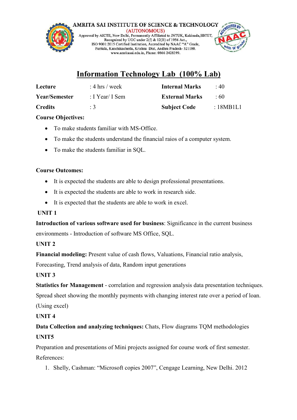

## **Information Technology Lab (100% Lab)**

| Lecture        | : 4 hrs / week  | <b>Internal Marks</b> | : 40      |
|----------------|-----------------|-----------------------|-----------|
| Year/Semester  | : I Year/ I Sem | <b>External Marks</b> | :60       |
| <b>Credits</b> | :3              | <b>Subject Code</b>   | : 18MB1L1 |

## **Course Objectives:**

- To make students familiar with MS-Office.
- To make the students understand the financial raios of a computer system.
- To make the students familiar in SQL.

## **Course Outcomes:**

- It is expected the students are able to design professional presentations.
- It is expected the students are able to work in research side.
- It is expected that the students are able to work in excel.

## **UNIT 1**

**Introduction of various software used for business**: [Significance](http://amritasai.org/1.html) in the current business environments - Introduction of software MS Office, SQL.

## **UNIT 2**

**Financial modeling:** Present value of cash flows, Valuations, Financial ratio analysis,

Forecasting, Trend analysis of data, Random input generations

## **UNIT 3**

**Statistics for Management** - correlation and regression analysis data presentation techniques.

Spread sheet showing the monthly payments with changing interest rate over a period of loan. (Using excel)

## **UNIT 4**

**Data Collection and analyzing techniques:** Chats, Flow diagrams TQM methodologies **UNIT5**

Preparation and presentations of Mini projects assigned for course work of first semester. References:

1. Shelly, Cashman: "Microsoft copies 2007", Cengage Learning, New Delhi. 2012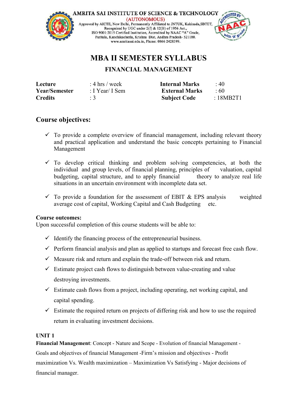



## **MBA II SEMESTER SYLLABUS**

## **FINANCIAL MANAGEMENT**

| Lecture        | : 4 hrs / week  | <b>Internal Marks</b> | $\cdot$ 40 |
|----------------|-----------------|-----------------------|------------|
| Year/Semester  | : I Year/ I Sem | <b>External Marks</b> | $\div 60$  |
| <b>Credits</b> |                 | <b>Subject Code</b>   | :18MB2T1   |

## **Course objectives:**

- $\checkmark$  To provide a complete overview of financial management, including relevant theory and practical application and understand the basic concepts pertaining to Financial Management
- $\checkmark$  To develop critical thinking and problem solving competencies, at both the individual and group levels, of financial planning, principles of valuation, capital budgeting, capital structure, and to apply financial theory to analyze real life situations in an uncertain environment with incomplete data set.
- $\checkmark$  To provide a foundation for the assessment of EBIT & EPS analysis weighted average cost of capital, Working Capital and Cash Budgeting etc.

## **Course outcomes:**

Upon successful completion of this course students will be able to:

- $\checkmark$  Identify the financing process of the [entrepreneurial](http://amritasai.org/1.html) business.
- $\checkmark$  Perform financial analysis and plan as applied to startups and forecast free cash flow.
- $\checkmark$  Measure risk and return and explain the trade-off between risk and return.
- $\checkmark$  Estimate project cash flows to distinguish between value-creating and value destroying investments.
- $\checkmark$  Estimate cash flows from a project, including operating, net working capital, and capital spending.
- $\checkmark$  Estimate the required return on projects of differing risk and how to use the required return in evaluating investment decisions.

## **UNIT 1**

**Financial Management**: Concept - Nature and Scope - Evolution of financial Management - Goals and objectives offinancial Management -Firm's mission and objectives - Profit maximization Vs. Wealth maximization – Maximization Vs Satisfying - Major decisions of financial manager.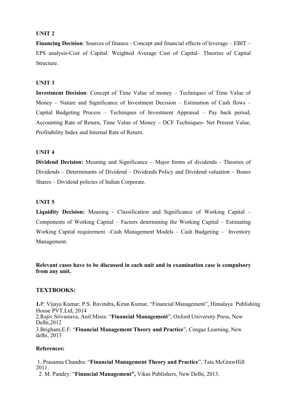#### **UNIT 2**

**Financing Decision:** Sources of finance - Concept and financial effects of leverage – EBIT – EPS analysis-Cost of Capital: Weighted Average Cost of Capital– Theories of Capital Structure.

#### **UNIT 3**

**Investment Decision**: Concept of Time Value of money – Techniques of Time Value of Money – Nature and Significance of Investment Decision – Estimation of Cash flows – Capital Budgeting Process – Techniques of Investment Appraisal – Pay back period, Accounting Rate of Return, Time Value of Money – DCF Techniques- Net Present Value, Profitability Index and Internal Rate of Return.

#### **UNIT 4**

**Dividend Decision:** Meaning and Significance – Major forms of dividends - Theories of Dividends – Determinants of Dividend – Dividends Policy and Dividend valuation – Bones Shares – Dividend policies of Indian Corporate.

#### **UNIT 5**

**Liquidity Decision:** Meaning - [Classification](http://amritasai.org/1.html) and Significance of Working Capital – Components of Working Capital – Factors determining the Working Capital – Estimating Working Capital requirement –Cash Management Models – Cash Budgeting – Inventory Management.

**Relevant cases have to be discussed in each unitand in examination case is compulsory from any unit.**

#### **TEXTBOOKS:**

**1.**P. Vijaya Kumar, P.S. Ravindra, Kiran Kumar, "Financial Management", Himalaya Publishing House PVT.Ltd, 2014 2.Rajiv Srivastava, Anil Misra: "**Financial Management**", Oxford University Press, New Delhi,2012 3.Brigham,E.F: "**Financial Management Theory and Practice**", Cengae Learning, New delhi, 2013

#### **References:**

1. Prasanna Chandra: "**Financial Management Theory and Practice**", Tata McGrawHill 2011.

2. M. Pandey: "**Financial Management",** Vikas Publishers, New Delhi, 2013.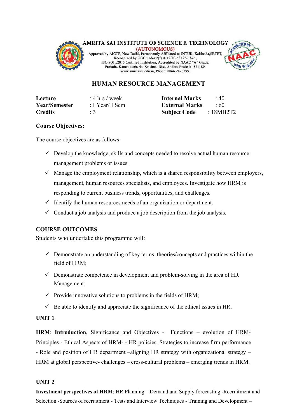

## **HUMAN RESOURCE MANAGEMENT**

| Lecture              | : 4 hrs / week  | <b>Internal Marks</b> $\qquad$ : 40 |  |
|----------------------|-----------------|-------------------------------------|--|
| <b>Year/Semester</b> | : I Year/ I Sem | <b>External Marks</b> : 60          |  |
| <b>Credits</b>       | $\therefore$ 3  | <b>Subject Code</b> : 18MB2T2       |  |

#### **Course Objectives:**

The course objectives are as follows

- $\checkmark$  Develop the knowledge, skills and concepts needed to resolve actual human resource management problems or issues.
- $\checkmark$  Manage the employment relationship, which is a shared responsibility between employers, management, human resources specialists, and employees. Investigate how HRM is responding to current business trends, opportunities, and challenges.
- $\checkmark$  Identify the human resources needs of an organization or department.
- $\checkmark$  Conduct a job analysis and produce a job description from the job analysis.

#### **COURSE OUTCOMES**

Students who undertake this programme will:

- $\checkmark$  Demonstrate an understanding of key terms, [theories/concepts](http://amritasai.org/1.html) and practices within the field of HRM;
- $\checkmark$  Demonstrate competence in development and problem-solving in the area of HR Management;
- $\checkmark$  Provide innovative solutions to problems in the fields of HRM;
- $\checkmark$  Be able to identify and appreciate the significance of the ethical issues in HR.

#### **UNIT 1**

**HRM**: **Introduction**, Significance and Objectives - Functions – evolution of HRM- Principles - Ethical Aspects of HRM- - HR policies, Strategies to increase firm performance - Role and position of HR department –aligning HR strategy with organizational strategy – HRM at global perspective- challenges – cross-cultural problems – emerging trends in HRM.

#### **UNIT 2**

**Investment perspectives of HRM**: HR Planning – Demand and Supply forecasting -Recruitment and Selection -Sources of recruitment - Tests and Interview Techniques - Training and Development –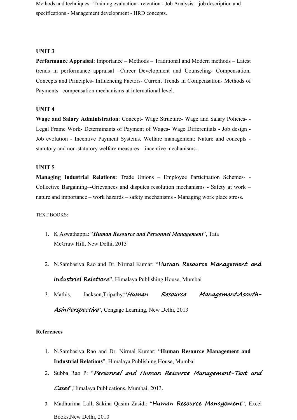Methods and techniques –Training evaluation - retention - Job Analysis – job description and specifications - Management development - HRD concepts.

#### **UNIT 3**

**Performance Appraisal**: Importance – Methods – Traditional and Modern methods – Latest trends in performance appraisal –Career Development and Counseling- Compensation, Concepts and Principles- Influencing Factors- Current Trends in Compensation- Methods of Payments –compensation mechanisms at international level.

#### **UNIT 4**

**Wage and Salary Administration**: Concept- Wage Structure- Wage and Salary Policies- - Legal Frame Work- Determinants of Payment of Wages- Wage Differentials - Job design - Job evolution - Incentive Payment Systems. Welfare management: Nature and concepts statutory and non-statutory welfare measures – incentive mechanisms-.

#### **UNIT 5**

**Managing Industrial Relations:** Trade Unions – Employee Participation Schemes- - Collective Bargaining–-Grievances and disputes resolution mechanisms **-** Safety at work – nature and importance – work hazards – safety mechanisms - Managing work place stress.

#### TEXT BOOKS:

- 1. K Aswathappa: "*Human Resource and Personnel [Managemen](http://amritasai.org/1.html)t*", Tata McGraw Hill, New Delhi, 2013
- 2. N.Sambasiva Rao and Dr. Nirmal Kumar: "**Human Resource Management and Industrial Relations**", Himalaya Publishing House, Mumbai
- 3. Mathis, Jackson,Tripathy:"**Human Resource Management:Asouth- AsinPerspective**", Cengage Learning, New Delhi, 2013

#### **References**

- 1. N.Sambasiva Rao and Dr. Nirmal Kumar: "**Human Resource Management and Industrial Relations**", Himalaya Publishing House, Mumbai
- 2. Subba Rao P: "**Personnel and Human Resource Management-Text and Cases**",Himalaya Publications, Mumbai, 2013.
- 3. Madhurima Lall, Sakina Qasim Zasidi: "**Human Resource Management**", Excel Books,New Delhi, 2010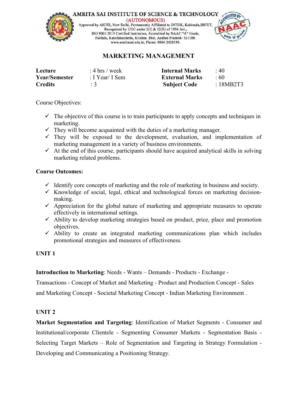

AMRITA SAI INSTITUTE OF SCIENCE & TECHNOLOGY

(AUTONOMOUS)<br>Approved by AICTE, New Delhi, Permanently Affiliated to JNTUK, Kakinada, SBTET, Recognized by UGC under 2(f) & 12(B) of 1956 Act., ISO 9001:2015 Certified Institution, Accredited by NAAC "A" Grade, Paritala, Kanchikacherla, Krishna Dist, Andhra Pradesh- 521180. www.amritasai.edu.in, Phone: 0866 2428399.



## **MARKETING MANAGEMENT**

| Lecture              | : 4 hrs / week  | <b>Internal Marks</b> | $\cdot$ 40 |
|----------------------|-----------------|-----------------------|------------|
| <b>Year/Semester</b> | : I Year/ I Sem | <b>External Marks</b> | $\cdot$ 60 |
| <b>Credits</b>       |                 | <b>Subject Code</b>   | :18MB2T3   |

Course Objectives:

- $\checkmark$  The objective of this course is to train participants to apply concepts and techniques in marketing.
- $\checkmark$  They will become acquainted with the duties of a marketing manager.
- $\checkmark$  They will be exposed to the development, evaluation, and implementation of marketing management in a variety of business environments.
- $\checkmark$  At the end of this course, participants should have acquired analytical skills in solving marketing related problems.

## **Course Outcomes:**

- $\checkmark$  Identify core concepts of marketing and the role of marketing in business and society.
- $\checkmark$  Knowledge of social, legal, ethical and technological forces on marketing decisionmaking.
- $\checkmark$  Appreciation for the global nature of marketing and appropriate measures to operate effectively in international settings.
- $\checkmark$  Ability to develop marketing strategies based on product, price, place and promotion objectives.
- $\checkmark$  Ability to create an integrated marketing communications plan which includes promotional strategies and measures of effectiveness.

## **UNIT 1**

**Introduction to Marketing:** Needs - Wants – Demands - Products - Exchange -

Transactions - Concept of Market and Marketing - Product and Production Concept - Sales and Marketing Concept - Societal Marketing Concept - Indian Marketing Environment .

## **UNIT 2**

**Market Segmentation and Targeting**: Identification of Market Segments - Consumer and Institutional/corporate Clientele - Segmenting Consumer Markets - Segmentation Basis - Selecting Target Markets – Role of Segmentation and Targeting in Strategy Formulation - Developing and Communicating a Positioning Strategy.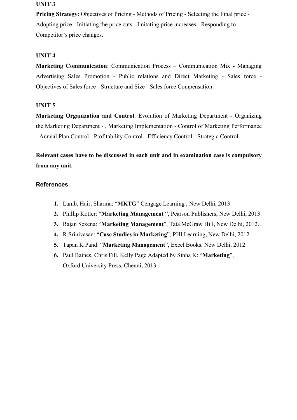#### **UNIT 3**

**Pricing Strategy:** Objectives of Pricing - Methods of Pricing - Selecting the Final price -Adopting price - Initiating the price cuts - Imitating price increases - Responding to Competitor's price changes.

### **UNIT 4**

**Marketing Communication**: Communication Process – Communication Mix - Managing Advertising Sales Promotion - Public relations and Direct Marketing - Sales force - Objectives of Sales force - Structure and Size - Sales force Compensation

#### **UNIT 5**

**Marketing Organization and Control**: Evolution of Marketing Department - Organizing the Marketing Department - , Marketing Implementation - Control of Marketing Performance - Annual Plan Control - Profitability Control - Efficiency Control - Strategic Control.

**Relevant cases have to be discussed in each unit and in examination case iscompulsory from any unit.**

#### **References**

- **1.** Lamb, Hair, Sharma: "**MKTG**" Cengage Learning , New Delhi, 2013
- **2.** Phillip Kotler: "**Marketing [Management](http://amritasai.org/1.html)** ", Pearson Publishers, New Delhi, 2013.
- **3.** Rajan Sexena: "**Marketing Management**", Tata McGraw Hill, New Delhi, 2012.
- **4.** R.Srinivasan: "**Case Studies in Marketing**", PHI Learning, New Delhi, 2012
- **5.** Tapan K Pand: "**Marketing Management**", Excel Books, New Delhi, 2012
- **6.** Paul Baines, Chris Fill, Kelly Page Adapted by Sinha K: "**Marketing**", Oxford University Press, Chenni, 2013.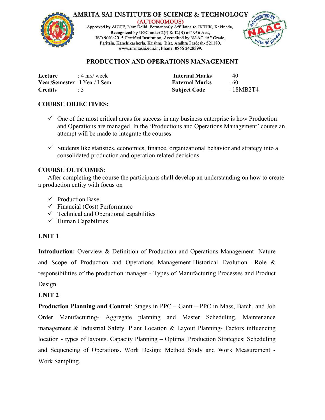



### **PRODUCTION AND OPERATIONS MANAGEMENT**

| Lecture                      | : 4 hrs/ week | <b>Internal Marks</b> | $\cdot$ 40 |
|------------------------------|---------------|-----------------------|------------|
| Year/Semester: I Year/ I Sem |               | <b>External Marks</b> | $\cdot$ 60 |
| <b>Credits</b>               |               | <b>Subject Code</b>   | :18MB2T4   |

## **COURSE OBJECTIVES:**

- $\checkmark$  One of the most critical areas for success in any business enterprise is how Production and Operations are managed. In the 'Productions and Operations Management' course an attempt will be made to integrate the courses
- $\checkmark$  Students like statistics, economics, finance, organizational behavior and strategy into a consolidated production and operation related decisions

#### **COURSE OUTCOMES**:

After completing the course the participants shall develop an understanding on how to create a production entity with focus on

- $\checkmark$  Production Base
- $\checkmark$  Financial (Cost) Performance
- $\checkmark$  Technical and Operational capabilities
- $\checkmark$  Human Capabilities

### **UNIT 1**

**Introduction:** Overview & Definition of Production and Operations Management- Nature and Scope of Production and Operations [Management-Historica](http://amritasai.org/1.html)l Evolution –Role & responsibilities of the production manager - Types of Manufacturing Processes and Product Design.

### **UNIT 2**

**Production Planning and Control**: Stages in PPC – Gantt – PPC in Mass, Batch, and Job Order Manufacturing- Aggregate planning and Master Scheduling, Maintenance management & Industrial Safety. Plant Location & Layout Planning- Factors influencing location - types of layouts. Capacity Planning – Optimal Production Strategies: Scheduling and Sequencing of Operations. Work Design: Method Study and Work Measurement - Work Sampling.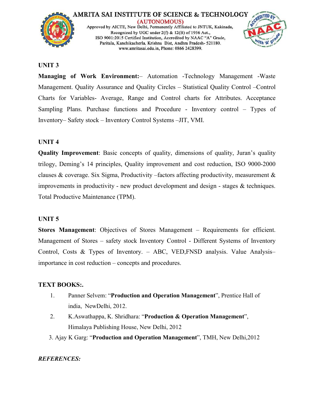



#### **UNIT 3**

**Managing of Work Environment:**– Automation -Technology Management -Waste Management. Quality Assurance and Quality Circles – Statistical Quality Control –Control Charts for Variables- Average, Range and Control charts for Attributes. Acceptance Sampling Plans. Purchase functions and Procedure - Inventory control – Types of Inventory– Safety stock – Inventory Control Systems –JIT, VMI.

#### **UNIT 4**

**Quality Improvement**: Basic concepts of quality, dimensions of quality, Juran's quality trilogy, Deming's 14 principles, Quality improvement and cost reduction, ISO 9000-2000 clauses & coverage. Six Sigma, Productivity –factors affecting productivity, measurement & improvements in productivity - new product development and design - stages & techniques. Total Productive Maintenance (TPM).

#### **UNIT 5**

**Stores Management**: Objectives of Stores [Management](http://amritasai.org/1.html) – Requirements for efficient. Management of Stores – safety stock Inventory Control - Different Systems of Inventory Control, Costs & Types of Inventory. – ABC, VED,FNSD analysis. Value Analysis– importance in cost reduction – concepts and procedures.

### **TEXT BOOKS:.**

- 1. Panner Selvem: "**Production and Operation Management**", Prentice Hall of india, NewDelhi, 2012.
- 2. K.Aswathappa, K. Shridhara: "**Production & Operation Management**", Himalaya Publishing House, New Delhi, 2012
- 3. Ajay K Garg: "**Production and Operation Management**", TMH, New Delhi,2012

#### *REFERENCES:*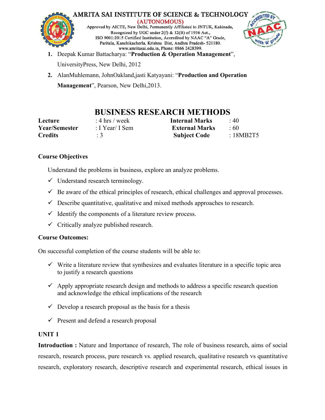



- **1.** Deepak Kumar Battacharya: "**Production & Operation Management**", UniversityPress, New Delhi, 2012
- **2.** AlanMuhlemann, JohnOakland,jasti Katyayani: "**Production and Operation Management**", Pearson, New Delhi,2013.

## **BUSINESS RESEARCH METHODS**

| Lecture        | : 4 hrs / week  | <b>Internal Marks</b> | $\cdot$ 40 |
|----------------|-----------------|-----------------------|------------|
| Year/Semester  | : I Year/ I Sem | <b>External Marks</b> | .60        |
| <b>Credits</b> |                 | <b>Subject Code</b>   | :18MB2T5   |

## **Course Objectives**

Understand the problems in business, explore an analyze problems.

- $\checkmark$  Understand research terminology.
- $\checkmark$  Be aware of the ethical principles of research, ethical challenges and approval processes.
- $\checkmark$  Describe quantitative, qualitative and mixed methods approaches to research.
- $\checkmark$  Identify the components of a literature review process.
- $\checkmark$  Critically analyze published research.

## **Course Outcomes:**

On successful completion of the course students will be able to:

- $\checkmark$  Write a literature review that [synthesizes](http://amritasai.org/1.html) and evaluates literature in a specific topic area to justify a research questions
- $\checkmark$  Apply appropriate research design and methods to address a specific research question and acknowledge the ethical implications of the research
- $\checkmark$  Develop a research proposal as the basis for a thesis
- $\checkmark$  Present and defend a research proposal

## **UNIT 1**

**Introduction :** Nature and Importance of research, The role of business research, aims of social research, research process, pure research vs. applied research, qualitative research vs quantitative research, exploratory research, descriptive research and experimental research, ethical issues in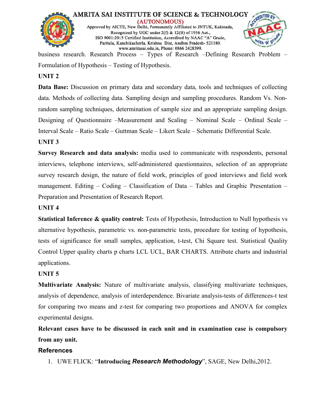



business research. Research Process – Types of Research –Defining Research Problem – Formulation of Hypothesis – Testing of Hypothesis.

## **UNIT 2**

**Data Base:** Discussion on primary data and secondary data, tools and techniques of collecting data. Methods of collecting data. Sampling design and sampling procedures. Random Vs. Nonrandom sampling techniques, determination of sample size and an appropriate sampling design. Designing of Questionnaire –Measurement and Scaling – Nominal Scale – Ordinal Scale – Interval Scale – Ratio Scale – Guttman Scale – Likert Scale – Schematic Differential Scale.

## **UNIT 3**

**Survey Research and data analysis:** media used to communicate with respondents, personal interviews, telephone interviews, self-administered questionnaires, selection of an appropriate survey research design, the nature of field work, principles of good interviews and field work management. Editing – Coding – Classification of Data – Tables and Graphic Presentation – Preparation and Presentation of Research Report.

## **UNIT 4**

**Statistical Inference & quality control:** Tests of Hypothesis, Introduction to Null hypothesis vs alternative hypothesis, parametric vs. [non-parametric](http://amritasai.org/1.html) tests, procedure for testing of hypothesis, tests of significance for small samples, application, t-test, Chi Square test. Statistical Quality Control Upper quality charts p charts LCL UCL, BAR CHARTS. Attribute charts and industrial applications.

## **UNIT 5**

**Multivariate Analysis:** Nature of multivariate analysis, classifying multivariate techniques, analysis of dependence, analysis of interdependence. Bivariate analysis-tests of differences-t test for comparing two means and z-test for comparing two proportions and ANOVA for complex experimental designs.

**Relevant cases have to be discussed in each unit and in examination case iscompulsory from any unit.**

## **References**

1. UWE FLICK: "**Introducing** *Research Methodology*", SAGE, New Delhi,2012.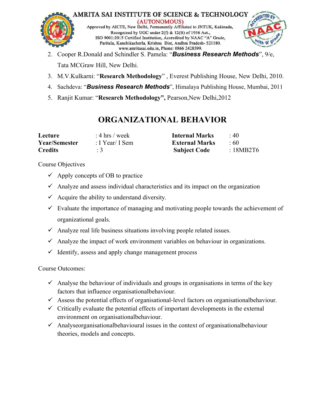



- 2. Cooper R.Donald and Schindler S. Pamela: "**Business** *Research Methods*", 9/e,<br>Tata MCGraw Hill, New Delhi.
- 3. M.V.Kulkarni: "**Research Methodology**" , Everest Publishing House, New Delhi, 2010.
- 4. Sachdeva: "*Business Research Methods*", Himalaya Publishing House, Mumbai, 2011
- 5. Ranjit Kumar: "**Research Methodology",** Pearson,New Delhi,2012

## **ORGANIZATIONAL BEHAVIOR**

| Lecture              | : 4 hrs / week  | <b>Internal Marks</b> | $\cdot$ 40 |
|----------------------|-----------------|-----------------------|------------|
| <b>Year/Semester</b> | : I Year/ I Sem | <b>External Marks</b> | $\div 60$  |
| <b>Credits</b>       | $\therefore$ 3  | <b>Subject Code</b>   | :18MB2T6   |

Course Objectives

- $\checkmark$  Apply concepts of OB to practice
- $\checkmark$  Analyze and assess individual characteristics and its impact on the organization
- $\checkmark$  Acquire the ability to understand diversity.
- $\checkmark$  Evaluate the importance of managing and motivating people towards the achievement of organizational goals.
- $\checkmark$  Analyze real life business situations involving people related issues.
- $\checkmark$  Analyze the impact of work environment variables on behaviour in organizations.
- $\checkmark$  Identify, assess and apply change [management](http://amritasai.org/1.html) process

Course Outcomes:

- $\checkmark$  Analyse the behaviour of individuals and groups in organisations in terms of the key factors that influence organisationalbehaviour.
- $\checkmark$  Assess the potential effects of organisational-level factors on organisationalbehaviour.
- $\checkmark$  Critically evaluate the potential effects of important developments in the external environment on organisationalbehaviour.
- $\checkmark$  Analyseorganisationalbehavioural issues in the context of organisationalbehaviour theories, models and concepts.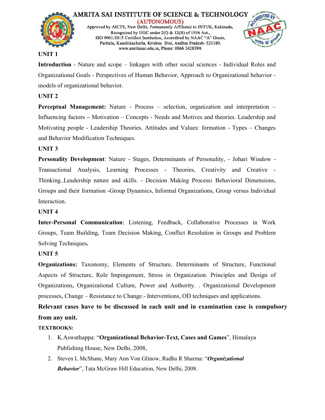



#### **UNIT 1**

**Introduction** - Nature and scope – linkages with other social sciences - Individual Roles and Organizational Goals - Perspectives of Human Behavior, Approach to Organizational behavior models of organizational behavior.

## **UNIT 2**

**Perceptual Management:** Nature - Process – selection, organization and interpretation – Influencing factors **–** Motivation – Concepts - Needs and Motives and theories. Leadership and Motivating people - Leadership Theories. Attitudes and Values: formation - Types – Changes and Behavior Modification Techniques.

## **UNIT 3**

**Personality Development**: Nature - Stages, Determinants of Personality, - Johari Window - Transactional Analysis, Learning Processes - Theories, Creativity and Creative - Thinking..Leadership nature and skills. - Decision Making Process**:** Behavioral Dimensions, Groups and their formation -Group Dynamics, Informal Organizations, Group versus Individual Interaction.

### **UNIT 4**

**Inter-Personal Communication**: Listening, Feedback, Collaborative Processes in Work Groups, Team Building, Team Decision Making, Conflict Resolution in Groups and Problem Solving Techniques**.**

### **UNIT 5**

**Organizations:** Taxonomy, Elements of Structure, [Determinants](http://amritasai.org/1.html) of Structure, Functional Aspects of Structure, Role Impingement, Stress in Organization. Principles and Design of Organizations, Organizational Culture, Power and Authority. . Organizational Development processes, Change – Resistance to Change.- Interventions, OD techniques and applications.

**Relevant cases have to be discussed in each unit and in examination case iscompulsory from any unit.**

### **TEXTBOOKS:**

- 1. K.Aswathappa: "**Organizational Behavior-Text, Cases and Games**", Himalaya Publishing House, New Delhi, 2008,
- 2. Steven L McShane, Mary Ann Von Glinow, Radha R Sharma: "*Organizational Behavior*", Tata McGraw Hill Education, New Delhi, 2008.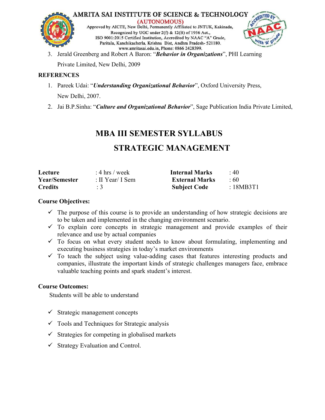



3. Jerald Greenberg and Robert A Baron: "*Behavior in Organizations*", PHI Learning

Private Limited, New Delhi, 2009

## **REFERENCES**

- 1. Pareek Udai: "*Understanding Organizational Behavior*", Oxford University Press, New Delhi, 2007.
- 2. Jai B.P.Sinha: "*Culture and Organizational Behavior*", Sage Publication India Private Limited,

## **MBA III SEMESTER SYLLABUS**

## **STRATEGIC MANAGEMENT**

| Lecture              | : 4 hrs / week   | <b>Internal Marks</b> | $\div 40$ |
|----------------------|------------------|-----------------------|-----------|
| <b>Year/Semester</b> | : II Year/ I Sem | <b>External Marks</b> | :60       |
| <b>Credits</b>       | $\therefore$ 3   | <b>Subject Code</b>   | :18MB3T1  |

## **Course Objectives:**

- $\checkmark$  The purpose of this course is to provide an [understanding](http://amritasai.org/1.html) of how strategic decisions are to be taken and implemented in the changing environment scenario.
- $\checkmark$  To explain core concepts in strategic management and provide examples of their relevance and use by actual companies
- $\checkmark$  To focus on what every student needs to know about formulating, implementing and executing business strategies in today's market environments
- $\checkmark$  To teach the subject using value-adding cases that features interesting products and companies, illustrate the important kinds of strategic challenges managers face, embrace valuable teaching points and spark student's interest.

## **Course Outcomes:**

Students will be able to understand

- $\checkmark$  Strategic management concepts
- $\checkmark$  Tools and Techniques for Strategic analysis
- $\checkmark$  Strategies for competing in globalised markets
- $\checkmark$  Strategy Evaluation and Control.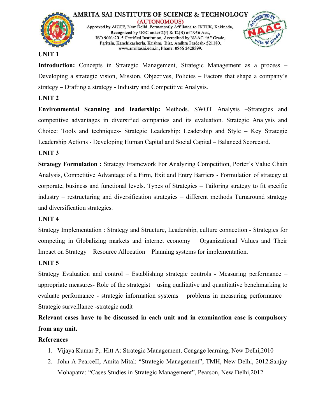



#### **UNIT 1**

**Introduction:** Concepts in Strategic Management, Strategic Management as a process – Developing a strategic vision, Mission, Objectives, Policies – Factors that shape a company's strategy – Drafting a strategy - Industry and Competitive Analysis.

## **UNIT 2**

**Environmental Scanning and leadership:** Methods. SWOT Analysis –Strategies and competitive advantages in diversified companies and its evaluation. Strategic Analysis and Choice: Tools and techniques- Strategic Leadership: Leadership and Style – Key Strategic Leadership Actions - Developing Human Capital and Social Capital – Balanced Scorecard.

## **UNIT 3**

**Strategy Formulation :** Strategy Framework For Analyzing Competition, Porter's Value Chain Analysis, Competitive Advantage of a Firm, Exit and Entry Barriers - Formulation of strategy at corporate, business and functional levels. Types of Strategies – Tailoring strategy to fit specific industry – restructuring and diversification strategies – different methods Turnaround strategy and diversification strategies.

### **UNIT 4**

Strategy Implementation : Strategy and Structure, [Leadership,](http://amritasai.org/1.html) culture connection - Strategies for competing in Globalizing markets and internet economy – Organizational Values and Their Impact on Strategy – Resource Allocation – Planning systems for implementation.

### **UNIT 5**

Strategy Evaluation and control – Establishing strategic controls - Measuring performance – appropriate measures- Role of the strategist – using qualitative and quantitative benchmarking to evaluate performance - strategic information systems – problems in measuring performance – Strategic surveillance -strategic audit

**Relevant cases have to be discussed in each unit and in examination caseiscompulsory from any unit.**

### **References**

- 1. Vijaya Kumar P,. Hitt A: Strategic Management, Cengage learning, New Delhi,2010
- 2. John A PearceII, Amita Mital: "Strategic Management", TMH, New Delhi, 2012.Sanjay Mohapatra: "Cases Studies in Strategic Management", Pearson, New Delhi,2012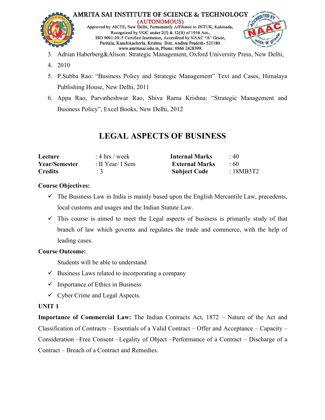



- 3. Adrian Haberberg&Alison: Strategic Management, Oxford University Press, New Delhi,
- 4. 2010
- 5. P.Subba Rao: "Business Policy and Strategic Management" Text and Cases, Himalaya Publishing House, New Delhi, 2011
- 6. Appa Rao, Parvatheshwar Rao, Shiva Rama Krishna: "Strategic Management and Business Policy", Excel Books, New Delhi, 2012

## **LEGAL ASPECTS OF BUSINESS**

| Lecture              | : 4 hrs / week   | <b>Internal Marks</b> | $\cdot$ 40 |
|----------------------|------------------|-----------------------|------------|
| <b>Year/Semester</b> | : II Year/ I Sem | <b>External Marks</b> | :60        |
| <b>Credits</b>       |                  | <b>Subject Code</b>   | :18MB3T2   |

## **Course Objectives:**

- $\checkmark$  The Business Law in India is mainly based upon the English Mercantile Law, precedents, local customs and usages and the Indian Statute Law.
- $\checkmark$  This course is aimed to meet the Legal aspects of business is primarily study of that branch of law which governs and regulates the trade and commerce, with the help of leading cases.

## **Course Outcome:**

Students will be able to understand

- $\checkmark$  Business Laws related to [incorporating](http://amritasai.org/1.html) a company
- $\checkmark$  Importance of Ethics in Business
- $\checkmark$  Cyber Crime and Legal Aspects.

## **UNIT 1**

**Importance of Commercial Law:** The Indian Contracts Act, 1872 – Nature of the Act and Classification of Contracts – Essentials of a Valid Contract – Offer and Acceptance – Capacity – Consideration –Free Consent –Legality of Object–Performance of a Contract – Discharge of a Contract – Breach of a Contract and Remedies.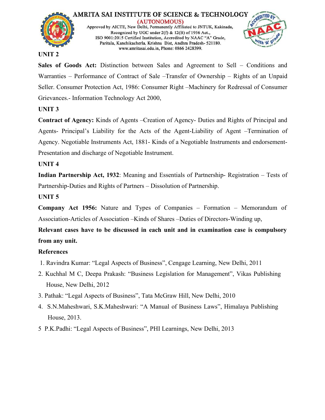



#### **UNIT 2**

**Sales of Goods Act:** Distinction between Sales and Agreement to Sell – Conditions and Warranties – Performance of Contract of Sale –Transfer of Ownership – Rights of an Unpaid Seller. Consumer Protection Act, 1986: Consumer Right –Machinery for Redressal of Consumer Grievances.- Information Technology Act 2000,

## **UNIT 3**

**Contract of Agency:** Kinds of Agents –Creation of Agency- Duties and Rights of Principal and Agents- Principal's Liability for the Acts of the Agent-Liability of Agent –Termination of Agency. Negotiable Instruments Act, 1881- Kinds of a Negotiable Instruments and endorsement-Presentation and discharge of Negotiable Instrument.

## **UNIT 4**

**Indian Partnership Act, 1932**: Meaning and Essentials of Partnership- Registration – Tests of Partnership-Duties and Rights of Partners – Dissolution of Partnership.

## **UNIT 5**

**Company Act 1956:** Nature and Types of Companies – Formation – Memorandum of Association-Articles of Association –Kinds of Shares –Duties of Directors-Winding up,

**Relevant cases have to be discussed in each unit and in examination caseiscompulsory from any unit.**

## **References**

- 1. Ravindra Kumar: "Legal Aspects of Business", Cengage Learning, New Delhi, 2011
- 2. Kuchhal M C, Deepa Prakash: "Business Legislation for Management", Vikas Publishing House, New Delhi, 2012
- 3. Pathak: "Legal Aspects of Business", Tata McGraw Hill, New Delhi, 2010
- 4. S.N.Maheshwari, S.K.Maheshwari: "A Manual of Business Laws", Himalaya Publishing House, 2013.
- 5 P.K.Padhi: "Legal Aspects of Business", PHI Learnings, New Delhi, 2013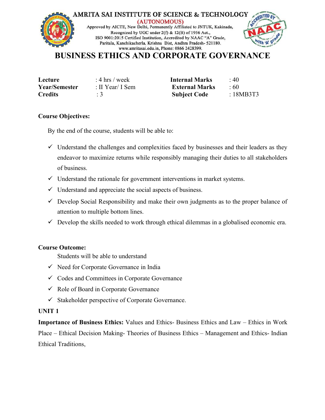

## **BUSINESS ETHICS AND CORPORATE GOVERNANCE**

| Lecture        |  |
|----------------|--|
| Year/Semester  |  |
| <b>Credits</b> |  |

**Lecture** : 4 hrs / week **Internal Marks** : 40 **Year/Semester** : II Year/ I Sem **ExternalMarks** : 60 **Credits** : 3 **Subject Code** : 18MB3T3

#### **Course Objectives:**

By the end of the course, students will be able to:

- $\checkmark$  Understand the challenges and complexities faced by businesses and their leaders as they endeavor to maximize returns while responsibly managing their duties to all stakeholders of business.
- $\checkmark$  Understand the rationale for government interventions in market systems.
- $\checkmark$  Understand and appreciate the social aspects of business.
- $\checkmark$  Develop Social Responsibility and make their own judgments as to the proper balance of attention to multiple bottom lines.
- $\checkmark$  Develop the skills needed to work through ethical dilemmas in a globalised economic era.

### **Course Outcome:**

Students will be able to [understand](http://amritasai.org/1.html)

- $\checkmark$  Need for Corporate Governance in India
- $\checkmark$  Codes and Committees in Corporate Governance
- $\checkmark$  Role of Board in Corporate Governance
- $\checkmark$  Stakeholder perspective of Corporate Governance.

#### **UNIT 1**

**Importance of Business Ethics:** Values and Ethics- Business Ethics and Law – Ethics in Work Place – Ethical Decision Making- Theories of Business Ethics – Management and Ethics- Indian Ethical Traditions,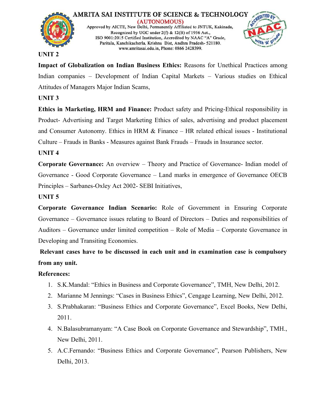



#### **UNIT 2**

**Impact of Globalization on Indian Business Ethics:** Reasons for Unethical Practices among Indian companies – Development of Indian Capital Markets – Various studies on Ethical Attitudes of Managers Major Indian Scams,

## **UNIT 3**

**Ethics in Marketing, HRM and Finance:** Product safety and Pricing-Ethical responsibility in Product- Advertising and Target Marketing Ethics of sales, advertising and product placement and Consumer Autonomy. Ethics in HRM & Finance – HR related ethical issues - Institutional Culture – Frauds in Banks - Measures against Bank Frauds – Frauds in Insurance sector.

### **UNIT 4**

**Corporate Governance:** An overview – Theory and Practice of Governance- Indian model of Governance - Good Corporate Governance – Land marks in emergence of Governance OECB Principles – Sarbanes-Oxley Act 2002- SEBI Initiatives,

### **UNIT 5**

**Corporate Governance Indian Scenario:** Role of Government in Ensuring Corporate Governance – Governance issues relating to Board of Directors – Duties and responsibilities of Auditors – Governance under limited [competition](http://amritasai.org/1.html) – Role of Media – Corporate Governance in Developing and Transiting Economies.

**Relevant cases have to be discussed in each unit and in examination caseis compulsory from any unit.**

### **References:**

- 1. S.K.Mandal: "Ethics in Business and Corporate Governance", TMH, New Delhi, 2012.
- 2. Marianne M Jennings: "Cases in Business Ethics", Cengage Learning, New Delhi, 2012.
- 3. S.Prabhakaran: "Business Ethics and Corporate Governance", Excel Books, New Delhi, 2011.
- 4. N.Balasubramanyam: "A Case Book on Corporate Governance and Stewardship", TMH., New Delhi, 2011.
- 5. A.C.Fernando: "Business Ethics and Corporate Governance", Pearson Publishers, New Delhi, 2013.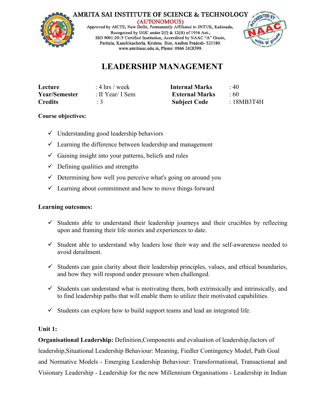### **AMRITA SAI INSTITUTE OF SCIENCE & TECHNOLOGY**



(AUTONOMOUS)

Approved by AICTE, New Delhi, Permanently Affiliated to JNTUK, Kakinada, Recognized by UGC under 2(f) & 12(B) of 1956 Act., ISO 9001:2015 Certified Institution, Accredited by NAAC "A" Grade, Paritala, Kanchikacherla, Krishna Dist, Andhra Pradesh- 521180. www.amritasai.edu.in. Phone: 0866 2428399.



## **LEADERSHIP MANAGEMENT**

| Lecture              | : 4 hrs / week   | <b>Internal Marks</b> | 40        |
|----------------------|------------------|-----------------------|-----------|
| <b>Year/Semester</b> | : II Year/ I Sem | <b>External Marks</b> | -60       |
| <b>Credits</b>       |                  | <b>Subject Code</b>   | :18MB3T4H |

### **Course objectives:**

- $\checkmark$  Understanding good leadership behaviors
- $\checkmark$  Learning the difference between leadership and management
- $\checkmark$  Gaining insight into your patterns, beliefs and rules
- $\checkmark$  Defining qualities and strengths
- $\checkmark$  Determining how well you perceive what's going on around you
- $\checkmark$  Learning about commitment and how to move things forward

### **Learning outcomes:**

- $\checkmark$  Students able to understand their leadership journeys and their crucibles by reflecting upon and framing their life stories and [experiences](http://amritasai.org/1.html) to date.
- $\checkmark$  Student able to understand why leaders lose their way and the self-awareness needed to avoid derailment.
- $\checkmark$  Students can gain clarity about their leadership principles, values, and ethical boundaries, and how they will respond under pressure when challenged.
- $\checkmark$  Students can understand what is motivating them, both extrinsically and intrinsically, and to find leadership paths that will enable them to utilize their motivated capabilities.
- $\checkmark$  Students can explore how to build support teams and lead an integrated life.

### **Unit 1:**

**Organisational Leadership:** Definition,Components and evaluation of leadership,factors of leadership,Situational Leadership Behaviour: Meaning, Fiedler Contingency Model, Path Goal and Normative Models - Emerging Leadership Behaviour: Transformational, Transactional and Visionary Leadership - Leadership for the new Millennium Organisations - Leadership in Indian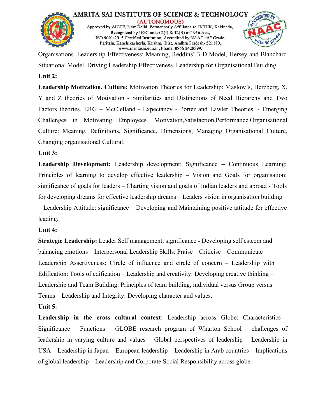



Organisations. Leadership Effectiveness: Meaning, Reddins' 3-D Model, Hersey and Blanchard Situational Model, Driving Leadership Effectiveness, Leadership for Organisational Building. **Unit 2:**

**Leadership Motivation, Culture:** Motivation Theories for Leadership: Maslow's, Herzberg, X, Y and Z theories of Motivation - Similarities and Distinctions of Need Hierarchy and Two Factors theories. ERG – McClelland - Expectancy - Porter and Lawler Theories. - Emerging Challenges in Motivating Employees. Motivation,Satisfaction,Performance.Organisational Culture: Meaning, Definitions, Significance, Dimensions, Managing Organisational Culture, Changing organisational Cultural.

## **Unit 3:**

**Leadership Development:** Leadership development: Significance – Continuous Learning: Principles of learning to develop effective leadership – Vision and Goals for organisation: significance of goals for leaders – Charting vision and goals of Indian leaders and abroad - Tools for developing dreams for effective leadership dreams – Leaders vision in organisation building – Leadership Attitude: significance – Developing and Maintaining positive attitude for effective leading.

## **Unit 4:**

**Strategic Leadership:** Leader Self management: significance - Developing self esteem and balancing emotions – Interpersonal Leadership Skills: Praise – Criticise – Communicate – Leadership Assertiveness: Circle of influence and circle of concern – Leadership with Edification: Tools of edification – Leadership and creativity: Developing creative thinking – Leadership and Team Building: Principles of team building, individual versus Group versus Teams – Leadership and Integrity: Developing character and values. **Unit 5:**

# **Leadership in the cross cultural context:** Leadership across Globe: Characteristics -Significance – Functions – GLOBE research program of Wharton School – challenges of leadership in varying culture and values – Global perspectives of leadership – Leadership in USA – Leadership in Japan – European leadership – Leadership in Arab countries – Implications of global leadership – Leadership and Corporate Social Responsibility across globe.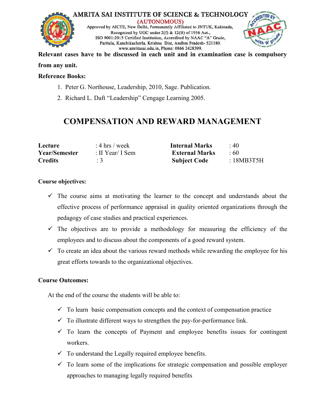



**Relevant cases have to be discussed in each unit and in examination caseiscompulsory from any unit.**

#### **Reference Books:**

- 1. Peter G. Northouse, Leadership, 2010, Sage. Publication.
- 2. Richard L. Daft "Leadership" Cengage Learning 2005.

## **COMPENSATION AND REWARD MANAGEMENT**

| Lecture              | : 4 hrs / week   | <b>Internal Marks</b> | 40       |  |
|----------------------|------------------|-----------------------|----------|--|
| <b>Year/Semester</b> | : II Year/ I Sem | <b>External Marks</b> | : 60     |  |
| <b>Credits</b>       |                  | <b>Subject Code</b>   | 18MB3T5H |  |

#### **Course objectives:**

- $\checkmark$  The course aims at motivating the learner to the concept and understands about the effective process of performance appraisal in quality oriented organizations through the pedagogy of case studies and practical experiences.
- $\checkmark$  The objectives are to provide a methodology for measuring the efficiency of the employees and to discuss about the components of a good reward system.
- $\checkmark$  To create an idea about the various reward methods while rewarding the employee for his great efforts towards to the [organizational](http://amritasai.org/1.html) objectives.

### **Course Outcomes:**

At the end of the course the students will be able to:

- $\checkmark$  To learn basic compensation concepts and the context of compensation practice
- $\checkmark$  To illustrate different ways to strengthen the pay-for-performance link.
- $\checkmark$  To learn the concepts of Payment and employee benefits issues for contingent workers.
- $\checkmark$  To understand the Legally required employee benefits.
- $\checkmark$  To learn some of the implications for strategic compensation and possible employer approaches to managing legally required benefits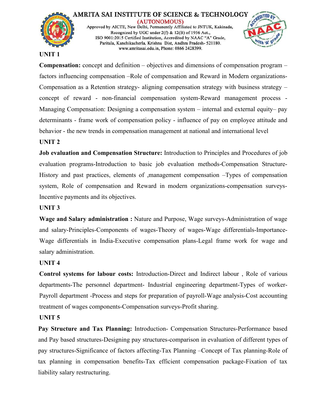



## **UNIT 1**

**Compensation:** concept and definition – objectives and dimensions of compensation program – factors influencing compensation –Role of compensation and Reward in Modern organizations- Compensation as a Retention strategy- aligning compensation strategy with business strategy – concept of reward - non-financial compensation system-Reward management process - Managing Compensation: Designing a compensation system – internal and external equity– pay determinants - frame work of compensation policy - influence of pay on employee attitude and behavior - the new trends in compensation management at national and international level

## **UNIT 2**

**Job evaluation and Compensation Structure:** Introduction to Principles and Procedures of job evaluation programs-Introduction to basic job evaluation methods-Compensation Structure- History and past practices, elements of ,management compensation –Types of compensation system, Role of compensation and Reward in modern organizations-compensation surveys-Incentive payments and its objectives.

## **UNIT 3**

**Wage and Salary administration :** Nature and Purpose, Wage surveys-Administration of wage and salary-Principles-Components of wages-Theory of wages-Wage differentials-Importance- Wage differentials in India-Executive compensation plans-Legal frame work for wage and salary administration.

### **UNIT 4**

**Control systems for labour costs:** [Introduction-Direct](http://amritasai.org/1.html) and Indirect labour , Role of various departments-The personnel department- Industrial engineering department-Types of worker- Payroll department -Process and steps for preparation of payroll-Wage analysis-Cost accounting treatment of wages components-Compensation surveys-Profit sharing.

### **UNIT 5**

**Pay Structure and Tax Planning:** Introduction- Compensation Structures-Performance based and Pay based structures-Designing pay structures-comparison in evaluation of different types of pay structures-Significance of factors affecting-Tax Planning –Concept of Tax planning-Role of tax planning in compensation benefits-Tax efficient compensation package-Fixation of tax liability salary restructuring.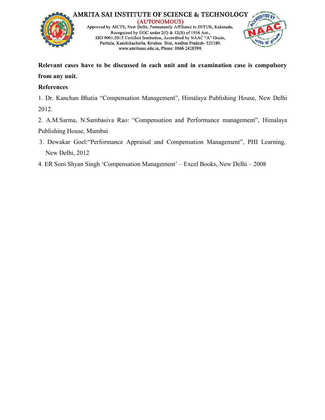



**Relevant cases have to be discussed in each unit and in examination caseiscompulsory from any unit.**

## **References**

1. Dr. Kanchan Bhatia "Compensation Management", Himalaya Publishing House, New Delhi 2012.

2. A.M.Sarma, N.Sambasiva Rao: "Compensation and Performance management", Himalaya Publishing House, Mumbai

- 3. Dewakar Goel:"Performance Appraisal and Compensation Management", PHI Learning, New Delhi, 2012
- 4. ER Soni Shyan Singh 'Compensation Management' Excel Books, New Delhi 2008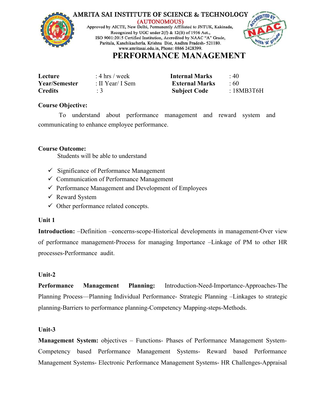



## **PERFORMANCE MANAGEMENT**

| Lecture              | : 4 hrs / week   | <b>Internal Marks</b> | 40        |
|----------------------|------------------|-----------------------|-----------|
| <b>Year/Semester</b> | : II Year/ I Sem | <b>External Marks</b> | -60       |
| <b>Credits</b>       |                  | <b>Subject Code</b>   | :18MB3T6H |

#### **Course Objective:**

To understand about performance management and reward system and communicating to enhance employee performance.

## **Course Outcome:**

Students will be able to understand

- $\checkmark$  Significance of Performance Management
- $\checkmark$  Communication of Performance Management
- $\checkmark$  Performance Management and Development of Employees
- $\checkmark$  Reward System
- $\checkmark$  Other performance related concepts.

## **Unit 1**

**Introduction:** –Definition –co[ncerns-scope-Historical](http://amritasai.org/1.html) developments in management-Over view of performance management-Process for managing Importance –Linkage of PM to other HR processes-Performance audit.

## **Unit-2**

**Performance Management Planning:** Introduction-Need-Importance-Approaches-The Planning Process—Planning Individual Performance- Strategic Planning –Linkages to strategic planning-Barriers to performance planning-Competency Mapping-steps-Methods.

## **Unit-3**

**Management System:** objectives – Functions- Phases of Performance Management System- Competency based Performance Management Systems- Reward based Performance Management Systems- Electronic Performance Management Systems- HR Challenges-Appraisal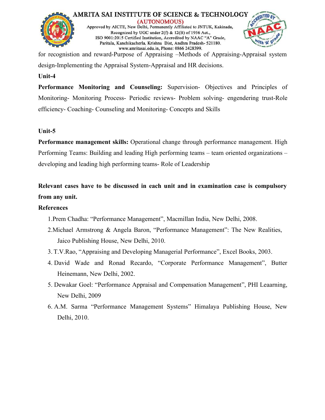



for recognistion and reward-Purpose of Appraising –Methods of Appraising-Appraisal system design-Implementing the Appraisal System-Appraisal and HR decisions.

## **Unit-4**

**Performance Monitoring and Counseling:** Supervision- Objectives and Principles of Monitoring- Monitoring Process- Periodic reviews- Problem solving- engendering trust-Role efficiency- Coaching- Counseling and Monitoring- Concepts and Skills

## **Unit-5**

**Performance management skills:** Operational change through performance management. High Performing Teams: Building and leading High performing teams – team oriented organizations – developing and leading high performing teams- Role of Leadership

**Relevant cases have to be discussed in each unit and in examination caseiscompulsory from any unit.**

## **References**

1.Prem Chadha: "Performance [Management",](http://amritasai.org/1.html) Macmillan India, New Delhi, 2008.

- 2.Michael Armstrong & Angela Baron, "Performance Management": The New Realities, Jaico Publishing House, New Delhi, 2010.
- 3. T.V.Rao, "Appraising and Developing Managerial Performance", Excel Books, 2003.
- 4. David Wade and Ronad Recardo, "Corporate Performance Management", Butter Heinemann, New Delhi, 2002.
- 5. Dewakar Goel: "Performance Appraisal and Compensation Management", PHI Leaarning, New Delhi, 2009
- 6. A.M. Sarma "Performance Management Systems" Himalaya Publishing House, New Delhi, 2010.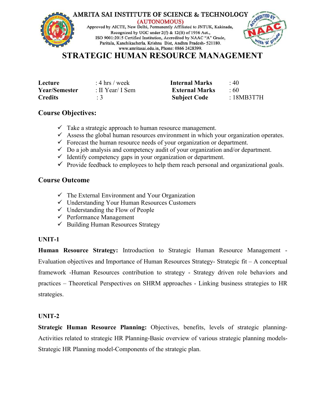## **STRATEGIC HUMAN RESOURCE MANAGEMENT**

| Lecture              | : 4 hrs / week   | Internal Marks        | 40       |  |
|----------------------|------------------|-----------------------|----------|--|
| <b>Year/Semester</b> | : II Year/ I Sem | <b>External Marks</b> | : 60     |  |
| <b>Credits</b>       |                  | <b>Subject Code</b>   | 18MB3T7H |  |

## **Course Objectives:**

- $\checkmark$  Take a strategic approach to human resource management.
- $\checkmark$  Assess the global human resources environment in which your organization operates.
- $\checkmark$  Forecast the human resource needs of your organization or department.
- $\checkmark$  Do a job analysis and competency audit of your organization and/or department.
- $\checkmark$  Identify competency gaps in your organization or department.
- $\checkmark$  Provide feedback to employees to help them reach personal and organizational goals.

## **Course Outcome**

- $\checkmark$  The External Environment and Your Organization
- Understanding Your Human Resources Customers
- $\checkmark$  Understanding the Flow of People
- $\checkmark$  Performance Management
- $\checkmark$  Building Human Resources Strategy

#### **UNIT-1**

**Human Resource Strategy:** [Introduction](http://amritasai.org/1.html) to Strategic Human Resource Management - Evaluation objectives and Importance of Human Resources Strategy- Strategic fit – A conceptual framework -Human Resources contribution to strategy - Strategy driven role behaviors and practices – Theoretical Perspectives on SHRM approaches - Linking business strategies to HR strategies.

#### **UNIT-2**

**Strategic Human Resource Planning:** Objectives, benefits, levels of strategic planning- Activities related to strategic HR Planning-Basic overview of various strategic planning models- Strategic HR Planning model-Components of the strategic plan.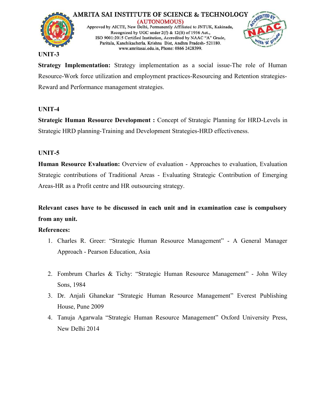



#### **UNIT-3**

**Strategy Implementation:** Strategy implementation as a social issue-The role of Human Resource-Work force utilization and employment practices-Resourcing and Retention strategies- Reward and Performance management strategies.

## **UNIT-4**

**Strategic Human Resource Development :** Concept of Strategic Planning for HRD-Levels in Strategic HRD planning-Training and Development Strategies-HRD effectiveness.

## **UNIT-5**

**Human Resource Evaluation:** Overview of evaluation - Approaches to evaluation, Evaluation Strategic contributions of Traditional Areas - Evaluating Strategic Contribution of Emerging Areas-HR as a Profit centre and HR outsourcing strategy.

**Relevant cases have to be discussed in each unit and in examination caseiscompulsory from any unit.**

## **References:**

- 1. Charles R. Greer: "Strategic Human Resource [Manageme](http://amritasai.org/1.html)nt" A General Manager Approach - Pearson Education, Asia
- 2. Fombrum Charles & Tichy: "Strategic Human Resource Management" John Wiley Sons, 1984
- 3. Dr. Anjali Ghanekar "Strategic Human Resource Management" Everest Publishing House, Pune 2009
- 4. Tanuja Agarwala "Strategic Human Resource Management" Oxford University Press, New Delhi 2014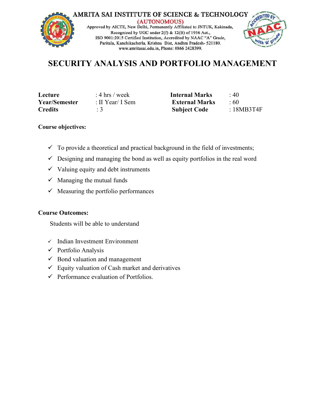

## **SECURITY ANALYSIS AND PORTFOLIO MANAGEMENT**

| Lecture       | : 4 hrs / week   |
|---------------|------------------|
| Year/Semester | : II Year/ I Sem |
| Credits       | : 3              |

**Letter Internal Marks** : 40 **External Marks** : 60 **Credits** : 3 **Subject Code** : 18MB3T4F

## **Course objectives:**

- $\checkmark$  To provide a theoretical and practical background in the field of investments;
- $\checkmark$  Designing and managing the bond as well as equity portfolios in the real word
- $\checkmark$  Valuing equity and debt instruments
- $\checkmark$  Managing the mutual funds
- $\checkmark$  Measuring the portfolio performances

#### **Course Outcomes:**

Students will be able to understand

- $\checkmark$  Indian Investment Environment
- $\checkmark$  Portfolio Analysis
- $\checkmark$  Bond valuation and management
- $\checkmark$  Equity valuation of Cash market and [derivatives](http://amritasai.org/1.html)
- $\checkmark$  Performance evaluation of Portfolios.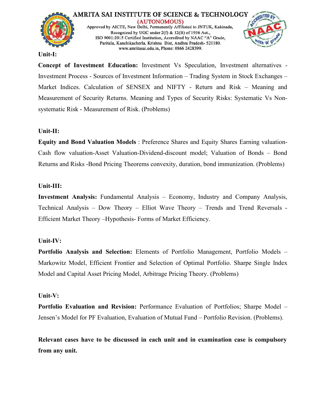



#### **Unit-I:**

**Concept of Investment Education:** Investment Vs Speculation, Investment alternatives - Investment Process - Sources of Investment Information – Trading System in Stock Exchanges – Market Indices. Calculation of SENSEX and NIFTY - Return and Risk – Meaning and Measurement of Security Returns. Meaning and Types of Security Risks: Systematic Vs Non systematic Risk - Measurement of Risk. (Problems)

## **Unit-II:**

**Equity and Bond Valuation Models** : Preference Shares and Equity Shares Earning valuation- Cash flow valuation-Asset Valuation-Dividend-discount model; Valuation of Bonds – Bond Returns and Risks -Bond Pricing Theorems convexity, duration, bond immunization. (Problems)

## **Unit-III:**

**Investment Analysis:** Fundamental Analysis – Economy, Industry and Company Analysis, Technical Analysis – Dow Theory – Elliot Wave Theory – Trends and Trend Reversals - Efficient Market Theory –Hypothesis- Forms of Market [Efficiency.](http://amritasai.org/1.html)

## **Unit-IV:**

**Portfolio Analysis and Selection:** Elements of Portfolio Management, Portfolio Models – Markowitz Model, Efficient Frontier and Selection of Optimal Portfolio. Sharpe Single Index Model and Capital Asset Pricing Model, Arbitrage Pricing Theory. (Problems)

## **Unit-V:**

**Portfolio Evaluation and Revision:** Performance Evaluation of Portfolios; Sharpe Model – Jensen's Model for PF Evaluation, Evaluation of Mutual Fund – Portfolio Revision. (Problems).

**Relevant cases have to be discussed in each unit and in examination caseiscompulsory from any unit.**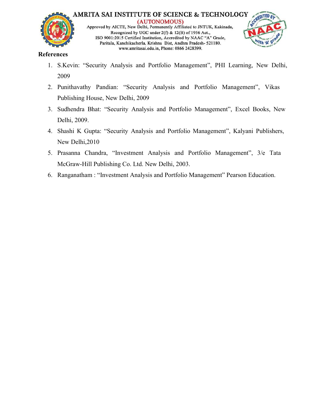



## **References**

- 1. S.Kevin: "Security Analysis and Portfolio Management", PHI Learning, New Delhi, 2009
- 2. Punithavathy Pandian: "Security Analysis and Portfolio Management", Vikas Publishing House, New Delhi, 2009
- 3. Sudhendra Bhat: "Security Analysis and Portfolio Management", Excel Books, New Delhi, 2009.
- 4. Shashi K Gupta: "Security Analysis and Portfolio Management", Kalyani Publishers, New Delhi,2010
- 5. Prasanna Chandra, "Investment Analysis and Portfolio Management", 3/e Tata McGraw-Hill Publishing Co. Ltd. New Delhi, 2003.
- 6. Ranganatham : "Investment Analysis and Portfolio Management" Pearson Education.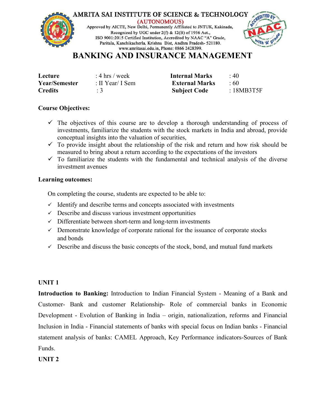

## **BANKING AND INSURANCE MANAGEMENT**

| Lecture              | : 4 hrs / week   | <b>Internal Marks</b> | $\div$ 40 |
|----------------------|------------------|-----------------------|-----------|
| <b>Year/Semester</b> | : II Year/ I Sem | <b>External Marks</b> | :60       |
| <b>Credits</b>       |                  | <b>Subject Code</b>   | :18MB3T5F |

#### **Course Objectives:**

- $\checkmark$  The objectives of this course are to develop a thorough understanding of process of investments, familiarize the students with the stock markets in India and abroad, provide conceptual insights into the valuation of securities,
- $\checkmark$  To provide insight about the relationship of the risk and return and how risk should be measured to bring about a return according to the expectations of the investors
- $\checkmark$  To familiarize the students with the fundamental and technical analysis of the diverse investment avenues

#### **Learning outcomes:**

On completing the course, students are expected to be able to:

- $\checkmark$  Identify and describe terms and concepts associated with investments
- $\checkmark$  Describe and discuss various investment [opportunities](http://amritasai.org/1.html)
- $\checkmark$  Differentiate between short-term and long-term investments
- $\checkmark$  Demonstrate knowledge of corporate rational for the issuance of corporate stocks and bonds
- $\checkmark$  Describe and discuss the basic concepts of the stock, bond, and mutual fund markets

## **UNIT 1**

**Introduction to Banking:** Introduction to Indian Financial System - Meaning of a Bank and Customer- Bank and customer Relationship- Role of commercial banks in Economic Development - Evolution of Banking in India – origin, nationalization, reforms and Financial Inclusion in India - Financial statements of banks with special focus on Indian banks - Financial statement analysis of banks: CAMEL Approach, Key Performance indicators-Sources of Bank Funds.

## **UNIT 2**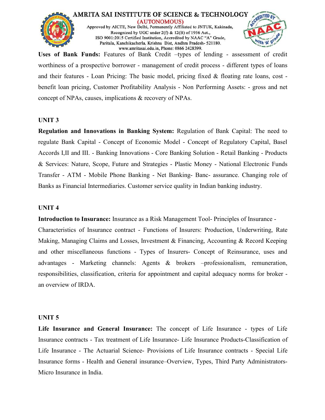



**Uses of Bank Funds:** Features of Bank Credit –types of lending - assessment of credit worthiness of a prospective borrower - management of credit process - different types of loans and their features - Loan Pricing: The basic model, pricing fixed & floating rate loans, cost benefit loan pricing, Customer Profitability Analysis - Non Performing Assets: - gross and net concept of NPAs, causes, implications & recovery of NPAs.

#### **UNIT 3**

**Regulation and Innovations in Banking System:** Regulation of Bank Capital: The need to regulate Bank Capital - Concept of Economic Model - Concept of Regulatory Capital, Basel Accords I,II and III. - Banking Innovations - Core Banking Solution - Retail Banking - Products & Services: Nature, Scope, Future and Strategies - Plastic Money - National Electronic Funds Transfer - ATM - Mobile Phone Banking - Net Banking- Banc- assurance. Changing role of Banks as Financial Intermediaries. Customer service quality in Indian banking industry.

#### **UNIT 4**

**Introduction to Insurance:** Insurance as a Risk [Management](http://amritasai.org/1.html) Tool- Principles of Insurance -

Characteristics of Insurance contract - Functions of Insurers: Production, Underwriting, Rate Making, Managing Claims and Losses, Investment & Financing, Accounting & Record Keeping and other miscellaneous functions - Types of Insurers- Concept of Reinsurance, uses and advantages - Marketing channels: Agents & brokers –professionalism, remuneration, responsibilities, classification, criteria for appointment and capital adequacy norms for broker an overview of IRDA.

#### **UNIT 5**

**Life Insurance and General Insurance:** The concept of Life Insurance - types of Life Insurance contracts - Tax treatment of Life Insurance- Life Insurance Products-Classification of Life Insurance - The Actuarial Science- Provisions of Life Insurance contracts - Special Life Insurance forms - Health and General insurance–Overview, Types, Third Party Administrators- Micro Insurance in India.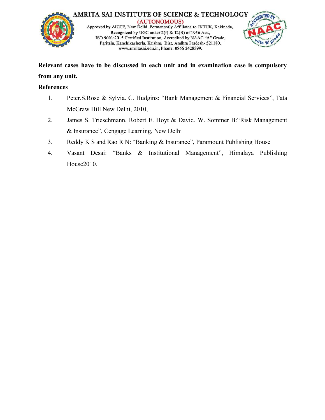



**Relevant cases have to be discussed in each unit and in examination caseiscompulsory from any unit.**

## **References**

- 1. Peter.S.Rose & Sylvia. C. Hudgins: "Bank Management & Financial Services", Tata McGraw Hill New Delhi, 2010,
- 2. James S. Trieschmann, Robert E. Hoyt & David. W. Sommer B:"Risk Management & Insurance", Cengage Learning, New Delhi
- 3. Reddy K S and Rao R N: "Banking & Insurance", Paramount Publishing House
- 4. Vasant Desai: "Banks & Institutional Management", Himalaya Publishing House2010.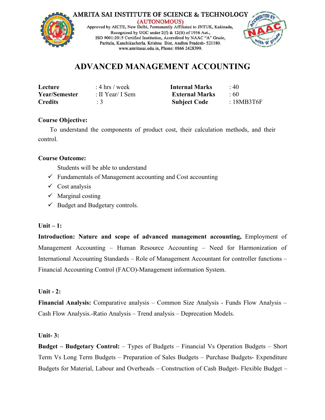



## **ADVANCED MANAGEMENT ACCOUNTING**

| Lecture              | : 4 hrs / week   | <b>Internal Marks</b> | $\cdot$ 40 |
|----------------------|------------------|-----------------------|------------|
| <b>Year/Semester</b> | : II Year/ I Sem | <b>External Marks</b> | .60        |
| <b>Credits</b>       |                  | <b>Subject Code</b>   | :18MB3T6F  |

## **Course Objective:**

To understand the components of product cost, their calculation methods, and their control.

## **Course Outcome:**

Students will be able to understand

- $\checkmark$  Fundamentals of Management accounting and Cost accounting
- $\checkmark$  Cost analysis
- $\checkmark$  Marginal costing
- $\checkmark$  Budget and Budgetary controls.

## **Unit – 1:**

**Introduction:** Nature and scope of advanced management accounting, Employment of Management Accounting – Human Resource Accounting – Need for Harmonization of International Accounting Standards – Role of Management Accountant for controller functions – Financial Accounting Control ([FACO\)-Management](http://amritasai.org/1.html) information System.

## **Unit - 2:**

**Financial Analysis:** Comparative analysis – Common Size Analysis - Funds Flow Analysis – Cash Flow Analysis.-Ratio Analysis – Trend analysis – Deprecation Models.

## **Unit- 3:**

**Budget – Budgetary Control:** – Types of Budgets – Financial Vs Operation Budgets – Short Term Vs Long Term Budgets – Preparation of Sales Budgets – Purchase Budgets- Expenditure Budgets for Material, Labour and Overheads – Construction of Cash Budget- Flexible Budget –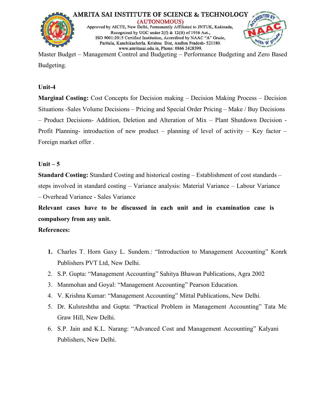



Master Budget – Management Control and Budgeting – Performance Budgeting and Zero Based Budgeting.

## **Unit-4**

**Marginal Costing:** Cost Concepts for Decision making – Decision Making Process – Decision Situations -Sales Volume Decisions – Pricing and Special Order Pricing – Make / Buy Decisions – Product Decisions- Addition, Deletion and Alteration of Mix – Plant Shutdown Decision - Profit Planning- introduction of new product – planning of level of activity – Key factor – Foreign market offer .

## **Unit – 5**

**Standard Costing:** Standard Costing and historical costing – Establishment of cost standards – steps involved in standard costing - Variance analysis: Material Variance - Labour Variance – Overhead Variance - Sales Variance

**Relevant cases have to be discussed in each unit and in examination case is compulsory from any unit.**

## **References:**

- **1.** Charles T. Horn Gaxy L. Sundem.: ["Introduction](http://amritasai.org/1.html) to Management Accounting" Konrk Publishers PVT Ltd, New Delhi.
- 2. S.P. Gupta: "Management Accounting" Sahitya Bhawan Publications, Agra 2002
- 3. Manmohan and Goyal: "Management Accounting" Pearson Education.
- 4. V. Krishna Kumar: "Management Accounting" Mittal Publications, New Delhi.
- 5. Dr. Kulsreshtha and Gupta: "Practical Problem in Management Accounting" Tata Mc Graw Hill, New Delhi.
- 6. S.P. Jain and K.L. Narang: "Advanced Cost and Management Accounting" Kalyani Publishers, New Delhi.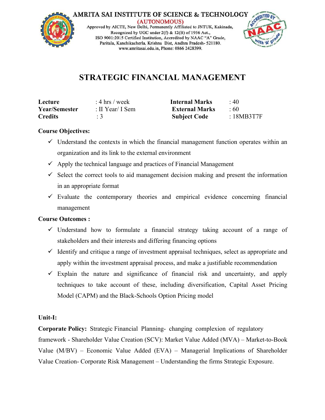



# **STRATEGIC FINANCIAL MANAGEMENT**

| Lecture              | : 4 hrs / week   | <b>Internal Marks</b> | $\cdot$ 40 |
|----------------------|------------------|-----------------------|------------|
| <b>Year/Semester</b> | : II Year/ I Sem | <b>External Marks</b> | :60        |
| <b>Credits</b>       |                  | <b>Subject Code</b>   | :18MB3T7F  |

## **Course Objectives:**

- $\checkmark$  Understand the contexts in which the financial management function operates within an organization and its link to the external environment
- $\checkmark$  Apply the technical language and practices of Financial Management
- $\checkmark$  Select the correct tools to aid management decision making and present the information in an appropriate format
- $\checkmark$  Evaluate the contemporary theories and empirical evidence concerning financial management

## **Course Outcomes :**

- $\checkmark$  Understand how to formulate a financial strategy taking account of a range of stakeholders and their interests and differing financing options
- $\checkmark$  Identify and critique a range of investment appraisal techniques, select as appropriate and apply within the investment appraisal process, and make a justifiable recommendation
- $\checkmark$  Explain the nature and [significance](http://amritasai.org/1.html) of financial risk and uncertainty, and apply techniques to take account of these, including diversification, Capital Asset Pricing Model (CAPM) and the Black-Schools Option Pricing model

## **Unit-I:**

**Corporate Policy:** Strategic Financial Planning- changing complexion of regulatory framework - Shareholder Value Creation (SCV): Market Value Added (MVA) – Market-to-Book Value (M/BV) – Economic Value Added (EVA) – Managerial Implications of Shareholder Value Creation- Corporate Risk Management – Understanding the firms Strategic Exposure.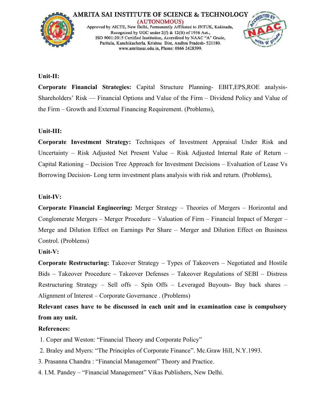

#### **Unit-II:**

**Corporate Financial Strategies:** Capital Structure Planning- EBIT,EPS,ROE analysis- Shareholders' Risk –– Financial Options and Value of the Firm – Dividend Policy and Value of the Firm – Growth and External Financing Requirement. (Problems),

#### **Unit-III:**

**Corporate Investment Strategy:** Techniques of Investment Appraisal Under Risk and Uncertainty – Risk Adjusted Net Present Value – Risk Adjusted Internal Rate of Return – Capital Rationing – Decision Tree Approach for Investment Decisions – Evaluation of Lease Vs Borrowing Decision- Long term investment plans analysis with risk and return. (Problems),

#### **Unit-IV:**

**Corporate Financial Engineering:** Merger Strategy – Theories of Mergers – Horizontal and Conglomerate Mergers – Merger [Procedure](http://amritasai.org/1.html) – Valuation of Firm – Financial Impact of Merger – Merge and Dilution Effect on Earnings Per Share – Merger and Dilution Effect on Business Control. (Problems)

## **Unit-V:**

**Corporate Restructuring:** Takeover Strategy – Types of Takeovers – Negotiated and Hostile Bids – Takeover Procedure – Takeover Defenses – Takeover Regulations of SEBI – Distress Restructuring Strategy – Sell offs – Spin Offs – Leveraged Buyouts- Buy back shares – Alignment of Interest – Corporate Governance . (Problems)

**Relevant cases have to be discussed in each unit and in examination caseiscompulsory from any unit.**

#### **References:**

- 1. Coper and Weston: "Financial Theory and Corporate Policy"
- 2. Braley and Myers: "The Principles of Corporate Finance". Mc.Graw Hill, N.Y.1993.
- 3. Prasanna Chandra : "Financial Management" Theory and Practice.
- 4. I.M. Pandey "Financial Management" Vikas Publishers, New Delhi.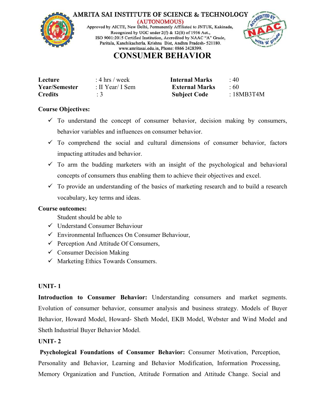



## **CONSUMER BEHAVIOR**

| Lecture              | : 4 hrs / week   | <b>Internal Marks</b> | : 40         |
|----------------------|------------------|-----------------------|--------------|
| <b>Year/Semester</b> | : II Year/ I Sem | <b>External Marks</b> | $60^{\circ}$ |
| <b>Credits</b>       |                  | <b>Subject Code</b>   | 18MB3T4M     |

## **Course Objectives:**

- $\checkmark$  To understand the concept of consumer behavior, decision making by consumers, behavior variables and influences on consumer behavior.
- $\checkmark$  To comprehend the social and cultural dimensions of consumer behavior, factors impacting attitudes and behavior.
- $\checkmark$  To arm the budding marketers with an insight of the psychological and behavioral concepts of consumers thus enabling them to achieve their objectives and excel.
- $\checkmark$  To provide an understanding of the basics of marketing research and to build a research vocabulary, key terms and ideas.

## **Course outcomes:**

- Student should be able to
- Understand Consumer Behaviour
- $\checkmark$  Environmental Influences On Consumer Behaviour,
- $\checkmark$  Perception And Attitude Of [Consumers,](http://amritasai.org/1.html)
- $\checkmark$  Consumer Decision Making
- $\checkmark$  Marketing Ethics Towards Consumers.

## **UNIT- 1**

**Introduction to Consumer Behavior:** Understanding consumers and market segments. Evolution of consumer behavior, consumer analysis and business strategy. Models of Buyer Behavior, Howard Model, Howard- Sheth Model, EKB Model, Webster and Wind Model and Sheth Industrial Buyer Behavior Model.

## **UNIT- 2**

**Psychological Foundations of Consumer Behavior:** Consumer Motivation, Perception, Personality and Behavior, Learning and Behavior Modification, Information Processing, Memory Organization and Function, Attitude Formation and Attitude Change. Social and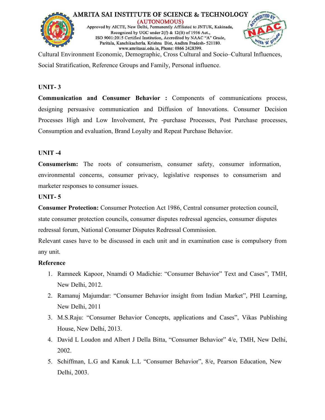



Cultural Environment Economic, Demographic, Cross Cultural and Socio–Cultural Influences, Social Stratification, Reference Groups and Family, Personal influence.

## **UNIT- 3**

**Communication and Consumer Behavior :** Components of communications process, designing persuasive communication and Diffusion of Innovations. Consumer Decision Processes High and Low Involvement, Pre -purchase Processes, Post Purchase processes, Consumption and evaluation, Brand Loyalty and Repeat Purchase Behavior.

## **UNIT -4**

**Consumerism:** The roots of consumerism, consumer safety, consumer information, environmental concerns, consumer privacy, legislative responses to consumerism and marketer responses to consumer issues.

#### **UNIT- 5**

**Consumer Protection:** Consumer Protection Act 1986, Central consumer protection council, state consumer protection councils, consumer disputes redressal agencies, consumer disputes redressal forum, National Consumer Disputes Redressal [Commission](http://amritasai.org/1.html).

Relevant cases have to be discussed in each unit and in examination case iscompulsory from any unit.

## **Reference**

- 1. Ramneek Kapoor, Nnamdi O Madichie: "Consumer Behavior" Text and Cases", TMH, New Delhi, 2012.
- 2. Ramanuj Majumdar: "Consumer Behavior insight from Indian Market", PHI Learning, New Delhi, 2011
- 3. M.S.Raju: "Consumer Behavior Concepts, applications and Cases", Vikas Publishing House, New Delhi, 2013.
- 4. David L Loudon and Albert J Della Bitta, "Consumer Behavior" 4/e, TMH, New Delhi, 2002.
- 5. Schiffman, L.G and Kanuk L.L "Consumer Behavior", 8/e, Pearson Education, New Delhi, 2003.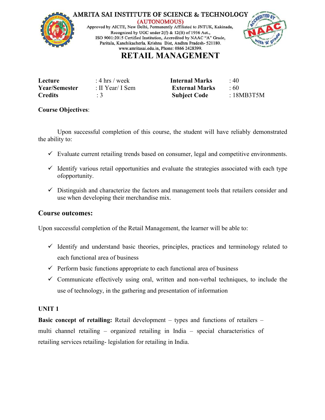



## **RETAIL MANAGEMENT**

| Lecture        | : 4 hrs / week   | <b>Internal Marks</b> | :40        |  |
|----------------|------------------|-----------------------|------------|--|
| Year/Semester  | : II Year/ I Sem | <b>External Marks</b> | $\cdot 60$ |  |
| <b>Credits</b> |                  | <b>Subject Code</b>   | :18MB3T5M  |  |

#### **Course Objectives**:

Upon successful completion of this course, the student will have reliably demonstrated the ability to:

- $\checkmark$  Evaluate current retailing trends based on consumer, legal and competitive environments.
- $\checkmark$  Identify various retail opportunities and evaluate the strategies associated with each type ofopportunity.
- $\checkmark$  Distinguish and characterize the factors and management tools that retailers consider and use when developing their merchandise mix.

## **Course outcomes:**

Upon successful completion of the Retail Management, the learner will be able to:

- $\checkmark$  Identify and understand basic theories, principles, practices and terminology related to each functional area of business
- $\checkmark$  Perform basic functions appropriate to each functional area of business
- $\checkmark$  Communicate effectively using oral, written and non-verbal techniques, to include the use of technology, in the gathering and presentation of information

#### **UNIT 1**

**Basic concept of retailing:** Retail development – types and functions of retailers – multi channel retailing – organized retailing in India – special characteristics of retailing services retailing- legislation for retailing in India.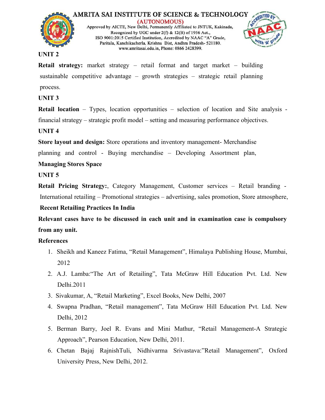



#### **UNIT 2**

**Retail strategy:** market strategy – retail format and target market – building sustainable competitive advantage – growth strategies – strategic retail planning process.

**UNIT 3**

**Retail location** – Types, location opportunities – selection of location and Site analysis financial strategy – strategic profit model – setting and measuring performance objectives.

## **UNIT 4**

**Store layout and design:** Store operations and inventory management- Merchandise

planning and control - Buying merchandise – Developing Assortment plan,

## **Managing Stores Space**

**UNIT 5**

**Retail Pricing Strategy:**, Category Management, Customer services – Retail branding - International retailing – Promotional strategies – advertising, sales promotion, Store atmosphere,

## **Recent Retailing Practices In India**

**Relevant cases have to be discussed in each unit and in examination caseiscompulsory from any unit.**

## **References**

- 1. Sheikh and Kaneez Fatima, "Retail [Management",](http://amritasai.org/1.html) Himalaya Publishing House, Mumbai, 2012
- 2. A.J. Lamba:"The Art of Retailing", Tata McGraw Hill Education Pvt. Ltd. New Delhi.2011
- 3. Sivakumar, A, "Retail Marketing", Excel Books, New Delhi, 2007
- 4. Swapna Pradhan, "Retail management", Tata McGraw Hill Education Pvt. Ltd. New Delhi, 2012
- 5. Berman Barry, Joel R. Evans and Mini Mathur, "Retail Management-A Strategic Approach", Pearson Education, New Delhi, 2011.
- 6. Chetan Bajaj RajnishTuli, Nidhivarma Srivastava:"Retail Management", Oxford University Press, New Delhi, 2012.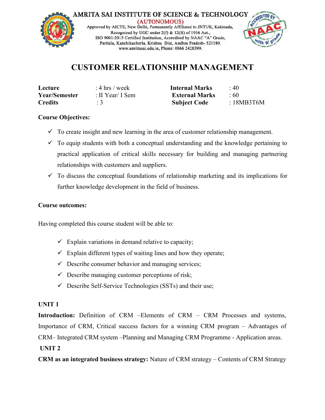



## **CUSTOMER RELATIONSHIP MANAGEMENT**

| Lecture        | : 4 hrs / week   | <b>Internal Marks</b> | : 40      |  |
|----------------|------------------|-----------------------|-----------|--|
| Year/Semester  | : II Year/ I Sem | <b>External Marks</b> | : 60      |  |
| <b>Credits</b> |                  | <b>Subject Code</b>   | :18MB3T6M |  |

## **Course Objectives:**

- $\checkmark$  To create insight and new learning in the area of customer relationship management.
- $\checkmark$  To equip students with both a conceptual understanding and the knowledge pertaining to practical application of critical skills necessary for building and managing partnering relationships with customers and suppliers.
- $\checkmark$  To discuss the conceptual foundations of relationship marketing and its implications for further knowledge development in the field of business.

## **Course outcomes:**

Having completed this course student will be able to:

- $\checkmark$  Explain variations in demand relative to capacity;
- $\checkmark$  Explain different types of waiting lines and how they operate;
- $\checkmark$  Describe consumer behavior and managing services;
- $\checkmark$  Describe managing customer perceptions of risk;
- $\checkmark$  Describe Self-Service Technologies (SSTs) and their use;

#### **UNIT 1**

**Introduction:** Definition of CRM –Elements of CRM – CRM Processes and systems, Importance of CRM, Critical success factors for a winning CRM program – Advantages of CRM– Integrated CRM system –Planning and Managing CRM Programme - Application areas.

## **UNIT 2**

**CRM as an integrated business strategy:** Nature of CRM strategy – Contents of CRM Strategy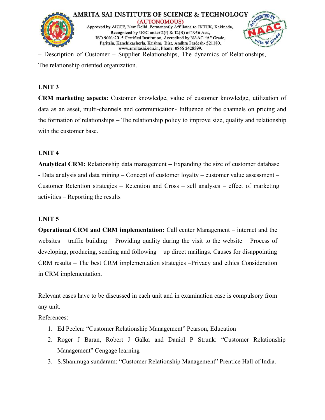

– Description of Customer – Supplier Relationships, The dynamics of Relationships, The relationship oriented organization.

#### **UNIT 3**

**CRM marketing aspects:** Customer knowledge, value of customer knowledge, utilization of data as an asset, multi-channels and communication- Influence of the channels on pricing and the formation of relationships – The relationship policy to improve size, quality and relationship with the customer base.

#### **UNIT 4**

**Analytical CRM:** Relationship data management – Expanding the size of customer database - Data analysis and data mining – Concept of customer loyalty – customer value assessment – Customer Retention strategies – Retention and Cross – sell analyses – effect of marketing activities – Reporting the results

#### **UNIT 5**

**Operational CRM and CRM [implementation:](http://amritasai.org/1.html)** Call center Management – internet and the websites – traffic building – Providing quality during the visit to the website – Process of developing, producing, sending and following – up direct mailings. Causes for disappointing CRM results – The best CRM implementation strategies –Privacy and ethics Consideration in CRM implementation.

Relevant cases have to be discussed in each unit and in examination case is compulsory from any unit.

References:

- 1. Ed Peelen: "Customer Relationship Management" Pearson, Education
- 2. Roger J Baran, Robert J Galka and Daniel P Strunk: "Customer Relationship Management" Cengage learning
- 3. S.Shanmuga sundaram: "Customer Relationship Management" Prentice Hall of India.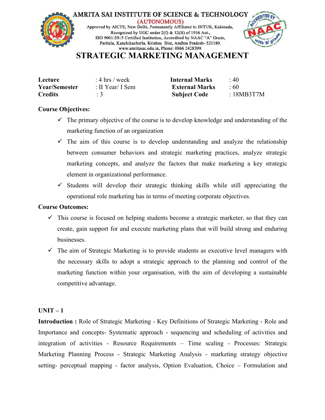

## **STRATEGIC MARKETING MANAGEMENT**

| Lecture              | : 4 hrs / week   | <b>Internal Marks</b> | : 40     |
|----------------------|------------------|-----------------------|----------|
| <b>Year/Semester</b> | : II Year/ I Sem | <b>External Marks</b> | : 60     |
| <b>Credits</b>       |                  | <b>Subject Code</b>   | 18MB3T7M |

#### **Course Objectives:**

- $\checkmark$  The primary objective of the course is to develop knowledge and understanding of the marketing function of an organization
- $\checkmark$  The aim of this course is to develop understanding and analyze the relationship between consumer behaviors and strategic marketing practices, analyze strategic marketing concepts, and analyze the factors that make marketing a key strategic element in organizational performance.
- $\checkmark$  Students will develop their strategic thinking skills while still appreciating the operational role marketing has in terms of meeting corporate objectives.

#### **Course Outcomes:**

- $\checkmark$  This course is focused on helping students become a strategic marketer, so that they can create, gain support for and execute marketing plans thatwill build strong and enduring businesses.
- $\checkmark$  The aim of Strategic Marketing is to provide students as executive level managers with the necessary skills to adopt a strategic approach to the planning and control of the marketing function within your [organisation,](http://amritasai.org/1.html) with the aim of developing a sustainable competitive advantage.

## $UNIT - 1$

**Introduction :** Role of Strategic Marketing - Key Definitions of Strategic Marketing - Role and Importance and concepts- Systematic approach - sequencing and scheduling of activities and integration of activities - Resource Requirements – Time scaling - Processes: Strategic Marketing Planning Process - Strategic Marketing Analysis - marketing strategy objective setting- perceptual mapping - factor analysis, Option Evaluation, Choice – Formulation and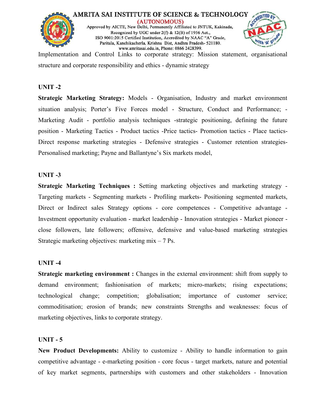



Implementation and Control Links to corporate strategy: Mission statement, organisational structure and corporate responsibility and ethics - dynamic strategy

#### **UNIT -2**

**Strategic Marketing Strategy:** Models - Organisation, Industry and market environment situation analysis; Porter's Five Forces model - Structure, Conduct and Performance; - Marketing Audit - portfolio analysis techniques -strategic positioning, defining the future position - Marketing Tactics - Product tactics -Price tactics- Promotion tactics - Place tactics- Direct response marketing strategies - Defensive strategies - Customer retention strategies- Personalised marketing; Payne and Ballantyne's Six markets model,

#### **UNIT -3**

**Strategic Marketing Techniques :** Setting marketing objectives and marketing strategy - Targeting markets - Segmenting markets - Profiling markets- Positioning segmented markets, Direct or Indirect sales Strategy options - core [competences](http://amritasai.org/1.html) - Competitive advantage - Investment opportunity evaluation - market leadership - Innovation strategies - Market pioneer close followers, late followers; offensive, defensive and value-based marketing strategies Strategic marketing objectives: marketing  $mix - 7$  Ps.

#### **UNIT -4**

**Strategic marketing environment :** Changes in the external environment: shift from supply to demand environment; fashionisation of markets; micro-markets; rising expectations; technological change; competition; globalisation; importance of customer service; commoditisation; erosion of brands; new constraints Strengths and weaknesses: focus of marketing objectives, links to corporate strategy.

#### **UNIT - 5**

**New Product Developments:** Ability to customize - Ability to handle information to gain competitive advantage - e-marketing position - core focus - target markets, nature and potential of key market segments, partnerships with customers and other stakeholders - Innovation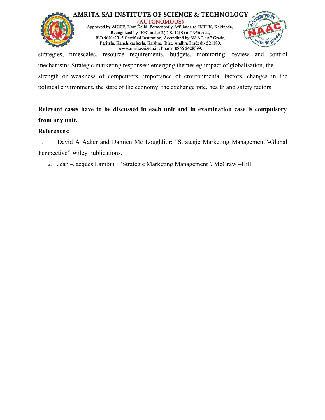

strategies, timescales, resource requirements, budgets, monitoring, review and control mechanisms Strategic marketing responses: emerging themes eg impact of globalisation, the strength or weakness of competitors, importance of environmental factors, changes in the political environment, the state of the economy, the exchange rate, health and safety factors

## **Relevant cases have to be discussed in each unit and in examination caseiscompulsory from any unit.**

## **References:**

1. Devid A Aaker and Damien Mc Loughlior: "Strategic Marketing Management"-Global Perspective" Wiley Publications.

2. Jean –Jacques Lambin : "Strategic Marketing Management", McGraw –Hill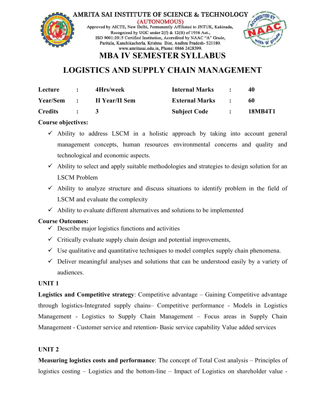



# **MBA IV SEMESTER SYLLABUS**

# **LOGISTICS AND SUPPLY CHAIN MANAGEMENT**

| Lecture<br>$\ddot{\phantom{1}}$ |                             | 4Hrs/week             | <b>Internal Marks</b>     | 40      |
|---------------------------------|-----------------------------|-----------------------|---------------------------|---------|
| Year/Sem :                      |                             | <b>II Year/II Sem</b> | <b>External Marks : :</b> | 60      |
| Credits                         | $\sim$ $\sim$ $\sim$ $\sim$ |                       | <b>Subject Code :</b>     | 18MB4T1 |

## **Course objectives:**

- $\checkmark$  Ability to address LSCM in a holistic approach by taking into account general management concepts, human resources environmental concerns and quality and technological and economic aspects.
- $\checkmark$  Ability to select and apply suitable methodologies and strategies to design solution for an LSCM Problem
- $\checkmark$  Ability to analyze structure and discuss situations to identify problem in the field of LSCM and evaluate the complexity
- $\checkmark$  Ability to evaluate different [alternatives](http://amritasai.org/1.html) and solutions to be implemented

## **Course Outcomes:**

- $\checkmark$  Describe major logistics functions and activities
- $\checkmark$  Critically evaluate supply chain design and potential improvements,
- $\checkmark$  Use qualitative and quantitative techniques to model complex supply chain phenomena.
- $\checkmark$  Deliver meaningful analyses and solutions that can be understood easily by a variety of audiences.

## **UNIT 1**

**Logistics and Competitive strategy**: Competitive advantage – Gaining Competitive advantage through logistics-Integrated supply chains– Competitive performance - Models in Logistics Management - Logistics to Supply Chain Management – Focus areas in Supply Chain Management - Customer service and retention- Basic service capability Value added services

## **UNIT 2**

**Measuring logistics costs and performance**: The concept of Total Cost analysis – Principles of logistics costing – Logistics and the bottom-line – Impact of Logistics on shareholder value -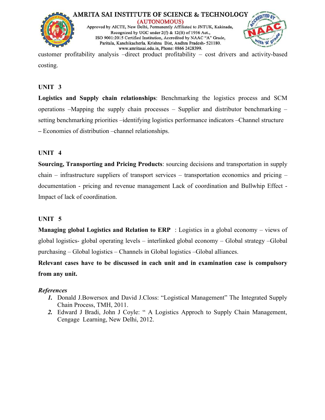



customer profitability analysis –direct product profitability – cost drivers and activity-based costing.

## **UNIT 3**

**Logistics and Supply chain relationships**: Benchmarking the logistics process and SCM operations –Mapping the supply chain processes – Supplier and distributor benchmarking – setting benchmarking priorities –identifying logistics performance indicators –Channel structure **–** Economies ofdistribution –channel relationships.

## **UNIT 4**

**Sourcing, Transporting and Pricing Products**: sourcing decisions and transportation in supply chain – infrastructure suppliers of transport services – transportation economics and pricing – documentation - pricing and revenue management Lack of coordination and Bullwhip Effect - Impact of lack of coordination.

## **UNIT 5**

**Managing global Logistics and Relation to ERP** : Logistics in a global economy – views of global logistics- global operating levels – [interlinked](http://amritasai.org/1.html) global economy – Global strategy –Global purchasing – Global logistics – Channels in Global logistics –Global alliances.

**Relevant cases have to be discussed in each unit and in examination case iscompulsory from any unit.**

## *References*

- *1.* Donald J.Bowersox and David J.Closs: "Logistical Management" The Integrated Supply Chain Process, TMH, 2011.
- *2.* Edward J Bradi, John J Coyle: " A Logistics Approch to Supply Chain Management, Cengage Learning, New Delhi, 2012.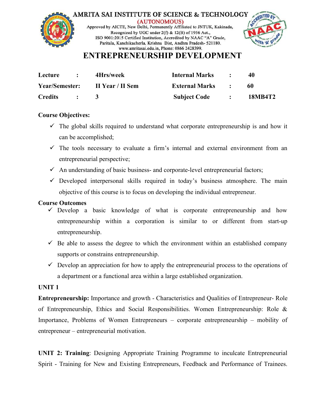



## **ENTREPRENEURSHIP DEVELOPMENT**

| Lecture        |                                         | 4Hrs/week        | <b>Internal Marks</b>                                            | 40      |
|----------------|-----------------------------------------|------------------|------------------------------------------------------------------|---------|
| Year/Semester: |                                         | II Year / II Sem | <b>External Marks</b><br>$\mathcal{L} = \mathcal{L} \mathcal{L}$ | -60     |
| <b>Credits</b> | $\mathcal{L} = \mathcal{L} \mathcal{L}$ |                  | <b>Subject Code : :</b>                                          | 18MB4T2 |

## **Course Objectives:**

- $\checkmark$  The global skills required to understand what corporate entrepreneurship is and how it can be accomplished;
- $\checkmark$  The tools necessary to evaluate a firm's internal and external environment from an entrepreneurial perspective;
- $\checkmark$  An understanding of basic business- and corporate-level entrepreneurial factors;
- $\checkmark$  Developed interpersonal skills required in today's business atmosphere. The main objective of this course is to focus on developing the individual entrepreneur.

## **Course Outcomes**

- $\checkmark$  Develop a basic knowledge of what is corporate entrepreneurship and how entrepreneurship within a corporation is similar to or different from start-up entrepreneurship.
- $\checkmark$  Be able to assess the degree to which the environment within an established company supports or constrains e[ntrepreneurship.](http://amritasai.org/1.html)
- $\checkmark$  Develop an appreciation for how to apply the entrepreneurial process to the operations of a department or a functional area within a large established organization.

## **UNIT 1**

**Entrepreneurship:** Importance and growth - Characteristics and Qualities of Entrepreneur- Role of Entrepreneurship, Ethics and Social Responsibilities. Women Entrepreneurship: Role & Importance, Problems of Women Entrepreneurs – corporate entrepreneurship – mobility of entrepreneur – entrepreneurial motivation.

**UNIT 2: Training**: Designing Appropriate Training Programme to inculcate Entrepreneurial Spirit - Training for New and Existing Entrepreneurs, Feedback and Performance of Trainees.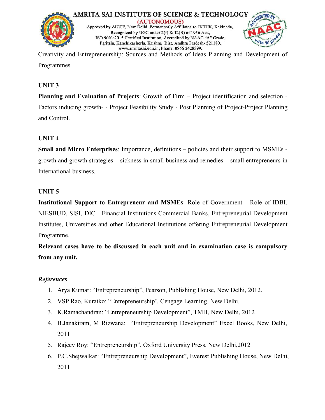



Creativity and Entrepreneurship: Sources and Methods of Ideas Planning and Development of Programmes

## **UNIT 3**

**Planning and Evaluation of Projects:** Growth of Firm – Project identification and selection -Factors inducing growth- - Project Feasibility Study - Post Planning of Project-Project Planning and Control.

## **UNIT 4**

**Small and Micro Enterprises**: Importance, definitions – policies and their support to MSMEs growth and growth strategies – sickness in small business and remedies – small entrepreneurs in International business.

## **UNIT 5**

**Institutional Support to Entrepreneur and MSMEs**: Role of Government - Role of IDBI, NIESBUD, SISI, DIC - Financial [Institutions-Commercial](http://amritasai.org/1.html) Banks, Entrepreneurial Development Institutes, Universities and other Educational Institutions offering Entrepreneurial Development Programme.

**Relevant cases have to be discussed in each unit and in examination case iscompulsory from any unit.**

## *References*

- 1. Arya Kumar: "Entrepreneurship", Pearson, Publishing House, New Delhi, 2012.
- 2. VSP Rao, Kuratko: "Entrepreneurship', Cengage Learning, New Delhi,
- 3. K.Ramachandran: "Entrepreneurship Development", TMH, New Delhi, 2012
- 4. B.Janakiram, M Rizwana: "Entrepreneurship Development" Excel Books, New Delhi, 2011
- 5. Rajeev Roy: "Entrepreneurship", Oxford University Press, New Delhi,2012
- 6. P.C.Shejwalkar: "Entrepreneurship Development", Everest Publishing House, New Delhi, 2011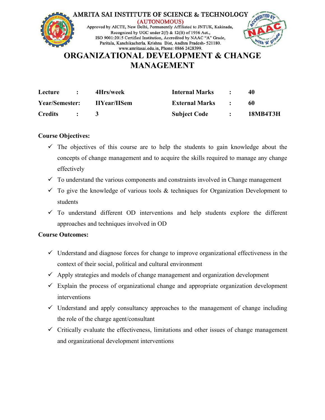

## **ORGANIZATIONAL DEVELOPMENT & CHANGE MANAGEMENT**

| Lecture               |               | 4Hrs/week           | <b>Internal Marks</b> |                | 40              |
|-----------------------|---------------|---------------------|-----------------------|----------------|-----------------|
| <b>Year/Semester:</b> |               | <b>IIYear/IISem</b> | <b>External Marks</b> | <b>Service</b> | -60             |
| <b>Credits</b>        | $\mathcal{L}$ |                     | <b>Subject Code</b>   |                | <b>18MB4T3H</b> |

## **Course Objectives:**

- $\checkmark$  The objectives of this course are to help the students to gain knowledge about the concepts of change management and to acquire the skills required to manage any change effectively
- $\checkmark$  To understand the various components and constraints involved in Change management
- $\checkmark$  To give the knowledge of various tools & techniques for Organization Development to students
- $\checkmark$  To understand different OD [interventions](http://amritasai.org/1.html) and help students explore the different approaches and techniques involved in OD

## **Course Outcomes:**

- $\checkmark$  Understand and diagnose forces for change to improve organizational effectiveness in the context of their social, political and cultural environment
- $\checkmark$  Apply strategies and models of change management and organization development
- $\checkmark$  Explain the process of organizational change and appropriate organization development interventions
- $\checkmark$  Understand and apply consultancy approaches to the management of change including the role of the charge agent/consultant
- $\checkmark$  Critically evaluate the effectiveness, limitations and other issues of change management and organizational development interventions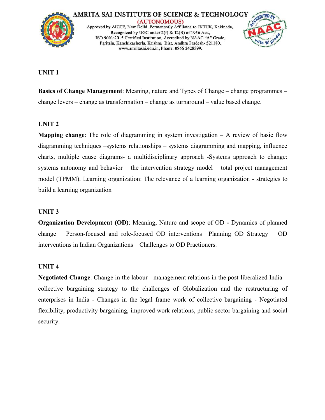

#### **UNIT 1**

**Basics of Change Management:** Meaning, nature and Types of Change – change programmes – change levers – change astransformation – change as turnaround – value based change.

#### **UNIT 2**

**Mapping change**: The role of diagramming in system investigation – A review of basic flow diagramming techniques –systems relationships – systems diagramming and mapping, influence charts, multiple cause diagrams- a multidisciplinary approach -Systems approach to change: systems autonomy and behavior – the intervention strategy model – total project management model (TPMM). Learning organization: The relevance of a learning organization - strategies to build a learning organization

#### **UNIT 3**

**Organization Development (OD)**: Meaning, Nature and scope of OD **-** Dynamics of planned change – Person-focused and role-focused OD [interventions](http://amritasai.org/1.html) –Planning OD Strategy – OD interventions in Indian Organizations – Challenges to OD Practioners.

#### **UNIT 4**

**Negotiated Change**: Change in the labour - management relations in the post-liberalized India – collective bargaining strategy to the challenges of Globalization and the restructuring of enterprises in India - Changes in the legal frame work of collective bargaining - Negotiated flexibility, productivity bargaining, improved work relations, public sector bargaining and social security.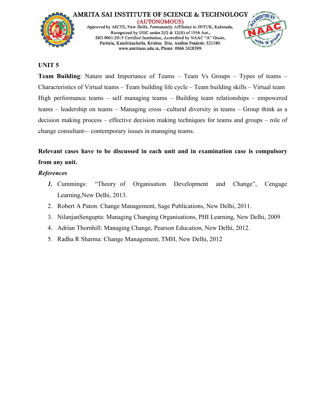



#### **UNIT 5**

**Team Building**: Nature and Importance of Teams – Team Vs Groups – Types of teams – Characteristics of Virtual teams – Team building life cycle – Team building skills – Virtual team High performance teams – self managing teams – Building team relationships – empowered teams – leadership on teams – Managing cross –cultural diversity in teams – Group think as a decision making process – effective decision making techniques for teams and groups – role of change consultant-– contemporary issues in managing teams.

## **Relevant cases have to be discussed in each unit and in examination case iscompulsory from any unit.**

## *References*

- *1.* Cummings: "Theory of Organisation Development and Change", Cengage Learning,New Delhi, 2013.
- 2. Robert A Paton: Change Management, Sage Publications, New Delhi, 2011.
- 3. NilanjanSengupta: Managing Changing [Organisations,](http://amritasai.org/1.html) PHI Learning, New Delhi, 2009
- 4. Adrian Thornhill: Managing Change, Pearson Education, New Delhi, 2012.
- 5. Radha R Sharma: Change Management, TMH, New Delhi, 2012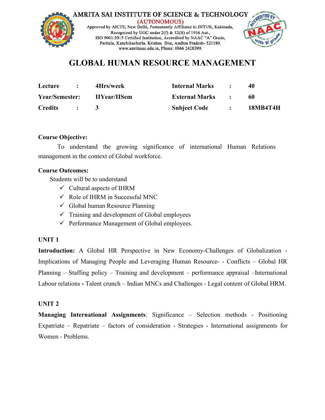

## **GLOBAL HUMAN RESOURCE MANAGEMENT**

| Lecture               | 4Hrs/week           | <b>Internal Marks</b> | $\bullet$ | 40              |
|-----------------------|---------------------|-----------------------|-----------|-----------------|
| <b>Year/Semester:</b> | <b>IIYear/IISem</b> | <b>External Marks</b> |           | -60             |
| <b>Credits</b>        |                     | <b>Subject Code</b>   |           | <b>18MB4T4H</b> |

#### **Course Objective:**

To understand the growing significance of international Human Relations management in the context of Global workforce.

#### **Course Outcomes:**

Students will be to understand

- $\checkmark$  Cultural aspects of IHRM
- $\checkmark$  Role of IHRM in Successful MNC
- $\checkmark$  Global human Resource Planning
- $\checkmark$  Training and development of Global employees
- $\checkmark$  Performance Management of Global employees.

#### **UNIT 1**

**Introduction:** A Global HR Perspective in New [Economy-Cha](http://amritasai.org/1.html)llenges of Globalization - Implications of Managing People and Leveraging Human Resource- - Conflicts – Global HR Planning – Staffing policy – Training and development – performance appraisal –International Labour relations **-** Talent crunch – Indian MNCs and Challenges - Legal content of Global HRM.

## **UNIT 2**

**Managing International Assignments:** Significance – Selection methods - Positioning Expatriate – Repatriate – factors of consideration - Strategies - International assignments for Women - Problems.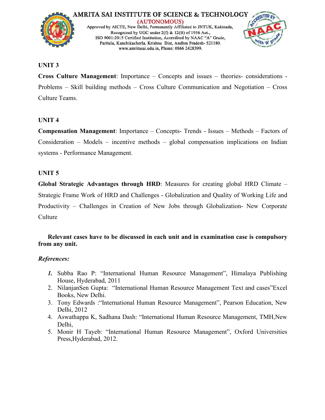

#### **UNIT 3**

**Cross Culture Management**: Importance – Concepts and issues – theories- considerations - Problems – Skill building methods – Cross Culture Communication and Negotiation – Cross Culture Teams.

## **UNIT 4**

**Compensation Management**: Importance – Concepts- Trends - Issues – Methods – Factors of Consideration – Models – incentive methods – global compensation implications on Indian systems - Performance Management.

#### **UNIT 5**

**Global Strategic Advantages through HRD**: Measures for creating global HRD Climate – Strategic Frame Work of HRD and Challenges - Globalization and Quality of Working Life and Productivity – Challenges in Creation of New Jobs through Globalization- New Corporate **Culture** 

## **Relevant cases have to be [discussed](http://amritasai.org/1.html) in each unitand in examination case iscompulsory from any unit.**

#### *References:*

- *1.* Subba Rao P: "International Human Resource Management", Himalaya Publishing House, Hyderabad, 2011
- 2. NilanjanSen Gupta: "International Human Resource Management Text and cases"Excel Books, New Delhi.
- 3. Tony Edwards :"International Human Resource Management", Pearson Education, New Delhi, 2012
- 4. Aswathappa K, Sadhana Dash: "International Human Resource Management, TMH,New Delhi,
- 5. Monir H Tayeb: "International Human Resource Management", Oxford Universities Press,Hyderabad, 2012.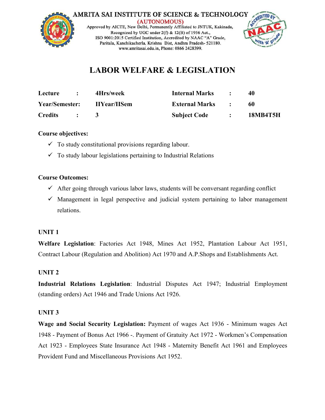



# **LABOR WELFARE & LEGISLATION**

| Lecture        | 4Hrs/week           | <b>Internal Marks</b> | 40              |
|----------------|---------------------|-----------------------|-----------------|
| Year/Semester: | <b>IIYear/IISem</b> | <b>External Marks</b> | 60              |
| <b>Credits</b> |                     | <b>Subject Code</b>   | <b>18MB4T5H</b> |

## **Course objectives:**

- $\checkmark$  To study constitutional provisions regarding labour.
- $\checkmark$  To study labour legislations pertaining to Industrial Relations

## **Course Outcomes:**

- $\checkmark$  After going through various labor laws, students will be conversant regarding conflict
- $\checkmark$  Management in legal perspective and judicial system pertaining to labor management relations.

## **UNIT 1**

**Welfare Legislation**: Factories Act 1948, Mines Act 1952, Plantation Labour Act 1951, Contract Labour (Regulation and [Abolition\)](http://amritasai.org/1.html) Act 1970 and A.P.Shops and Establishments Act.

## **UNIT 2**

**Industrial Relations Legislation:** Industrial Disputes Act 1947; Industrial Employment (standing orders) Act 1946 and Trade Unions Act 1926.

## **UNIT 3**

**Wage and Social Security Legislation:** Payment of wages Act 1936 - Minimum wages Act 1948 - Payment of Bonus Act 1966 -. Payment of Gratuity Act 1972 - Workmen's Compensation Act 1923 - Employees State Insurance Act 1948 - Maternity Benefit Act 1961 and Employees Provident Fund and Miscellaneous Provisions Act 1952.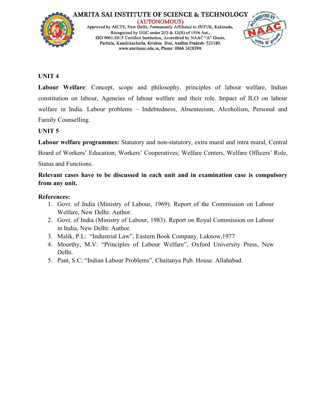



## **UNIT 4**

**Labour Welfare**: Concept, scope and philosophy, principles of labour welfare, Indian constitution on labour, Agencies of labour welfare and their role. Impact of ILO on labour welfare in India. Labour problems – Indebtedness, Absenteeism, Alcoholism, Personal and Family Counselling.

## **UNIT 5**

**Labour welfare programmes:** Statutory and non-statutory, extra mural and intra mural, Central Board of Workers' Education; Workers' Cooperatives; Welfare Centers, Welfare Officers' Role, Status and Functions.

**Relevant cases have to be discussed in each unit and in examination case iscompulsory from any unit.**

## **References:**

- 1. Govt. of India (Ministry of Labour, 1969). Report of the Commission on Labour Welfare, New Delhi: Author.
- 2. Govt. of India (Ministry of Labour, 1983). Report on Royal Commission on Labour in India, New Delhi: Author.
- 3. Malik, P.L: "Industrial Law", Eastern Book Company. Laknow,1977
- 4. Moorthy, M.V: "Principles of Labour Welfare", Oxford University Press, New Delhi.
- 5. Pant, S.C: "Indian Labour Problems", Chaitanya Pub. House. Allahabad.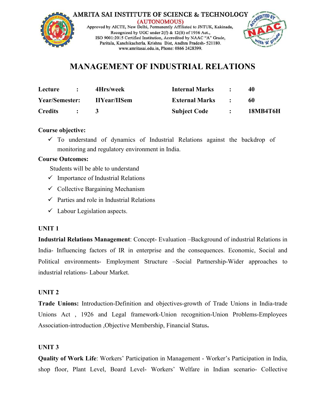



## **MANAGEMENT OF INDUSTRIAL RELATIONS**

| Lecture               | 4Hrs/week           | <b>Internal Marks</b> | 40              |
|-----------------------|---------------------|-----------------------|-----------------|
| <b>Year/Semester:</b> | <b>IIYear/IISem</b> | <b>External Marks</b> | -60             |
| <b>Credits</b>        |                     | <b>Subject Code</b>   | <b>18MB4T6H</b> |

## **Course objective:**

 $\checkmark$  To understand of dynamics of Industrial Relations against the backdrop of monitoring and regulatory environment in India.

## **Course Outcomes:**

Students will be able to understand

- $\checkmark$  Importance of Industrial Relations
- $\checkmark$  Collective Bargaining Mechanism
- $\checkmark$  Parties and role in Industrial Relations
- $\checkmark$  Labour Legislation aspects.

## **UNIT 1**

**Industrial Relations Management**: Concept- [Evaluation](http://amritasai.org/1.html) –Background of industrial Relations in India- Influencing factors of IR in enterprise and the consequences. Economic, Social and Political environments- Employment Structure –Social Partnership-Wider approaches to industrial relations- Labour Market.

## **UNIT 2**

**Trade Unions:** Introduction-Definition and objectives-growth of Trade Unions in India-trade Unions Act, 1926 and Legal framework-Union recognition-Union Problems-Employees Association-introduction ,Objective Membership, Financial Status**.**

## **UNIT 3**

**Quality of Work Life**: Workers' Participation in Management - Worker's Participation in India, shop floor, Plant Level, Board Level- Workers' Welfare in Indian scenario- Collective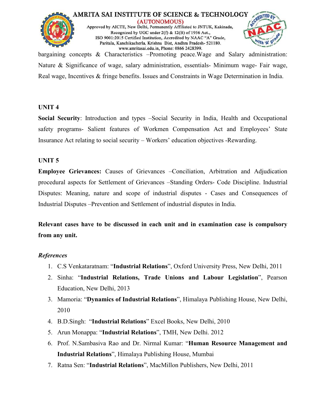



bargaining concepts & Characteristics –Promoting peace.Wage and Salary administration: Nature & Significance of wage, salary administration, essentials- Minimum wage- Fair wage, Real wage, Incentives & fringe benefits. Issues and Constraints in Wage Determination in India.

## **UNIT 4**

**Social Security**: Introduction and types –Social Security in India, Health and Occupational safety programs- Salient features of Workmen Compensation Act and Employees' State Insurance Act relating to social security – Workers' education objectives -Rewarding.

## **UNIT 5**

**Employee Grievances:** Causes of Grievances –Conciliation, Arbitration and Adjudication procedural aspects for Settlement of Grievances –Standing Orders- Code Discipline. Industrial Disputes: Meaning, nature and scope of industrial disputes - Cases and Consequences of Industrial Disputes –Prevention and [Settlement](http://amritasai.org/1.html) of industrial disputes in India.

**Relevant cases have to be discussed in each unit and in examination case iscompulsory from any unit.**

- 1. C.S Venkataratnam: "**Industrial Relations**", Oxford University Press, New Delhi, 2011
- 2. Sinha: "**Industrial Relations, Trade Unions and Labour Legislation**", Pearson Education, New Delhi, 2013
- 3. Mamoria: "**Dynamics of Industrial Relations**", Himalaya Publishing House, New Delhi, 2010
- 4. B.D.Singh: "**Industrial Relations**" Excel Books, New Delhi, 2010
- 5. Arun Monappa:"**Industrial Relations**", TMH, New Delhi. 2012
- 6. Prof. N.Sambasiva Rao and Dr. Nirmal Kumar: "**Human Resource Management and Industrial Relations**", Himalaya Publishing House, Mumbai
- 7. Ratna Sen: "**Industrial Relations**", MacMillon Publishers, New Delhi, 2011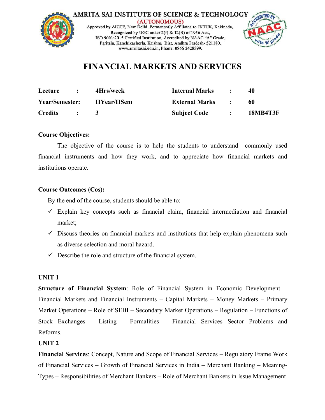



## **FINANCIAL MARKETS AND SERVICES**

| Lecture        | $\mathbf{r}$                              | 4Hrs/week           | <b>Internal Marks</b>   | $\mathcal{L} = \mathcal{L} \times \mathcal{L}$ |                 |
|----------------|-------------------------------------------|---------------------|-------------------------|------------------------------------------------|-----------------|
| Year/Semester: |                                           | <b>IIYear/IISem</b> | <b>External Marks</b>   | and the state of the state                     | 60              |
| <b>Credits</b> | $\sim$ $\sim$ $\sim$ $\sim$ $\sim$ $\sim$ |                     | <b>Subject Code : :</b> |                                                | <b>18MB4T3F</b> |

## **Course Objectives:**

The objective of the course is to help the students to understand commonly used financial instruments and how they work, and to appreciate how financial markets and institutions operate.

#### **Course Outcomes (Cos):**

By the end of the course, students should be able to:

- $\checkmark$  Explain key concepts such as financial claim, financial intermediation and financial market;
- $\checkmark$  Discuss theories on financial markets and [institutions](http://amritasai.org/1.html) that help explain phenomena such as diverse selection and moral hazard.
- $\checkmark$  Describe the role and structure of the financial system.

## **UNIT 1**

**Structure of Financial System**: Role of Financial System in Economic Development – Financial Markets and Financial Instruments – Capital Markets – Money Markets – Primary Market Operations – Role of SEBI – Secondary Market Operations – Regulation – Functions of Stock Exchanges – Listing – Formalities – Financial Services Sector Problems and Reforms.

## **UNIT 2**

**Financial Services**: Concept, Nature and Scope of Financial Services – Regulatory Frame Work of Financial Services – Growth of Financial Services in India – Merchant Banking – Meaning- Types – Responsibilities of Merchant Bankers – Role of Merchant Bankers in Issue Management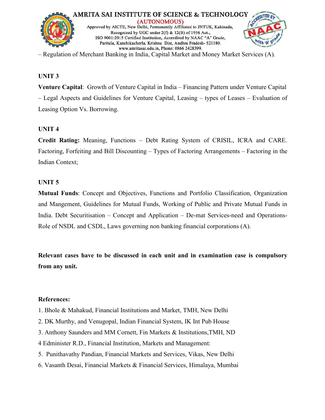

– Regulation of Merchant Banking in India, Capital Market and Money Market Services (A).

## **UNIT 3**

**Venture Capital**: Growth of Venture Capital in India – Financing Pattern under Venture Capital<br>– Legal Aspects and Guidelines for Venture Capital, Leasing – types of Leases – Evaluation of Leasing Option Vs. Borrowing.

## **UNIT 4**

**Credit Rating:** Meaning, Functions – Debt Rating System of CRISIL, ICRA and CARE. Factoring, Forfeiting and Bill Discounting – Types of Factoring Arrangements – Factoring in the Indian Context;

## **UNIT 5**

**Mutual Funds**: Concept and Objectives, Functions and Portfolio Classification, Organization and Mangement, Guidelines for Mutual Funds, Working of Public and Private Mutual Funds in India. Debt Securitisation – Concept and [Application](http://amritasai.org/1.html) – De-mat Services-need and Operations-Role of NSDL and CSDL, Laws governing non banking financial corporations (A).

**Relevant cases have to be discussed in each unit and in examination case iscompulsory from any unit.**

- 1. Bhole & Mahakud, Financial Institutions and Market, TMH, New Delhi
- 2. DK Murthy, and Venugopal, Indian Financial System, IK Int Pub House
- 3. Anthony Saunders and MM Cornett, Fin Markets & Institutions,TMH, ND
- 4 Edminister R.D., Financial Institution, Markets and Management:
- 5. Punithavathy Pandian, Financial Markets and Services, Vikas, New Delhi
- 6. Vasanth Desai, Financial Markets & Financial Services, Himalaya, Mumbai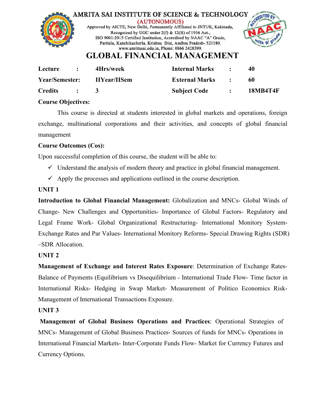

| Lecture               | $\mathbf{r}$   | 4Hrs/week           | <b>Internal Marks</b>                                                                  | $\mathbb{R}^n$                                                    | 40              |
|-----------------------|----------------|---------------------|----------------------------------------------------------------------------------------|-------------------------------------------------------------------|-----------------|
| <b>Year/Semester:</b> |                | <b>IIYear/IISem</b> | <b>External Marks</b>                                                                  | $\mathcal{L} = \mathcal{L} \mathcal{L} = \mathcal{L} \mathcal{L}$ | -60             |
| <b>Credits</b>        | $\therefore$ 3 |                     | <b>Subject Code</b><br>$\mathbf{r}$ and $\mathbf{r}$ and $\mathbf{r}$ and $\mathbf{r}$ |                                                                   | <b>18MB4T4F</b> |

## **Course Objectives:**

This course is directed at students interested in global markets and operations, foreign exchange, multinational corporations and their activities, and concepts of global financial management

## **Course Outcomes (Cos):**

Upon successful completion of this course, the student will be able to:

- $\checkmark$  Understand the analysis of modern theory and practice in global financial management.
- $\checkmark$  Apply the processes and applications outlined in the course description.

## **UNIT 1**

**Introduction to Global Financial Management:** Globalization and MNCs- Global Winds of Change- New Challenges and [Opportunities-](http://amritasai.org/1.html) Importance of Global Factors- Regulatory and Legal Frame Work- Global Organizational Restructuring- International Monitory System- Exchange Rates and Par Values- International Monitory Reforms- Special Drawing Rights (SDR) –SDR Allocation.

## **UNIT 2**

**Management of Exchange and Interest Rates Exposure**: Determination of Exchange Rates- Balance of Payments (Equilibrium vs Disequilibrium - International Trade Flow- Time factor in International Risks- Hedging in Swap Market- Measurement of Politico Economics Risk- Management of International Transactions Exposure.

## **UNIT 3**

**Management of Global Business Operations and Practices**: Operational Strategies of MNCs- Management of Global Business Practices- Sources of funds for MNCs- Operations in International Financial Markets- Inter-Corporate Funds Flow- Market for Currency Futures and Currency Options.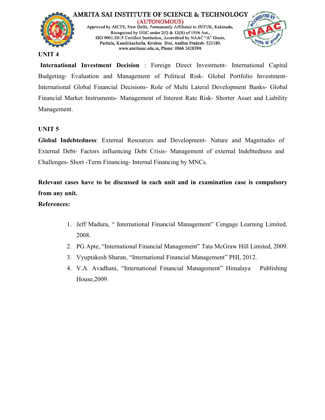



#### **UNIT 4**

**International Investment Decision** : Foreign Direct Investment- International Capital Budgeting- Evaluation and Management of Political Risk- Global Portfolio Investment-International Global Financial Decisions- Role of Multi Lateral Development Banks- Global Financial Market Instruments- Management of Interest Rate Risk- Shorter Asset and Liability Management.

#### **UNIT 5**

**Global Indebtedness**: External Resources and Development- Nature and Magnitudes of External Debt- Factors influencing Debt Crisis- Management of external Indebtedness and Challenges- Short -Term Financing- Internal Financing by MNCs.

**Relevant cases have to be discussed in each unit and in examination case iscompulsory from any unit.**

- 1. Jeff Madura, " International Financial [Management"](http://amritasai.org/1.html) Cengage Learning Limited, 2008.
- 2. PG Apte, "International Financial Management" Tata McGraw Hill Limited, 2009.
- 3. Vyuptakesh Sharan, "International Financial Management" PHI, 2012.
- 4. V.A. Avadhani, "International Financial Management" Himalaya Publishing House,2009.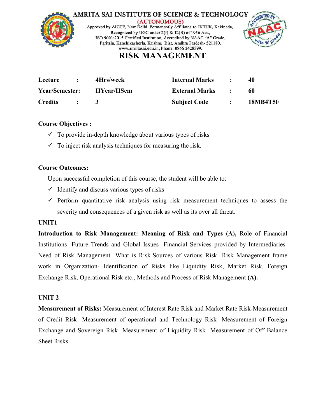



## **RISK MANAGEMENT**

| Lecture        | $\sim$ 1.000 $\sim$                                                                                                   | 4Hrs/week           | <b>Internal Marks</b>     |               | 40              |
|----------------|-----------------------------------------------------------------------------------------------------------------------|---------------------|---------------------------|---------------|-----------------|
| Year/Semester: |                                                                                                                       | <b>IIYear/IISem</b> | <b>External Marks : :</b> |               | -60             |
| <b>Credits</b> | $\mathbf{L} = \mathbf{L} \mathbf{L} \mathbf{L} + \mathbf{L} \mathbf{L} \mathbf{L} + \mathbf{L} \mathbf{L} \mathbf{L}$ |                     | <b>Subject Code</b>       | $\mathcal{L}$ | <b>18MB4T5F</b> |

## **Course Objectives :**

- $\checkmark$  To provide in-depth knowledge about various types of risks
- $\checkmark$  To inject risk analysis techniques for measuring the risk.

## **Course Outcomes:**

Upon successful completion of this course, the student will be able to:

- $\checkmark$  Identify and discuss various types of risks
- $\checkmark$  Perform quantitative risk analysis using risk measurement techniques to assess the severity and consequences of a given risk as well as its over all threat.

## **UNIT1**

**Introduction to Risk Management: Meaning of Risk and Types (A),** Role of Financial Institutions- Future Trends and Global Issues- Financial Services provided by Intermediaries- Need of Risk Management- What is [Risk-Sources](http://amritasai.org/1.html) of various Risk- Risk Management frame work in Organization- Identification of Risks like Liquidity Risk, Market Risk, Foreign Exchange Risk, Operational Risk etc., Methods and Process of Risk Management **(A).** 

## **UNIT 2**

**Measurement of Risks:** Measurement of Interest Rate Risk and Market Rate Risk-Measurement of Credit Risk- Measurement of operational and Technology Risk- Measurement of Foreign Exchange and Sovereign Risk- Measurement of Liquidity Risk- Measurement of Off Balance Sheet Risks.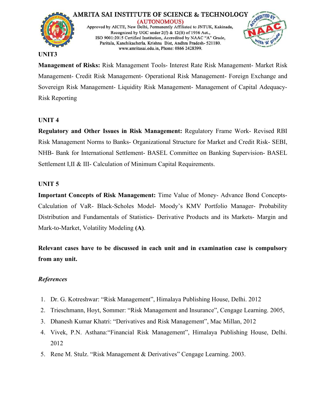

#### **UNIT3**

**Management of Risks:** Risk Management Tools- Interest Rate Risk Management- Market Risk Management- Credit Risk Management- Operational Risk Management- Foreign Exchange and Sovereign Risk Management- Liquidity Risk Management- Management of Capital Adequacy- Risk Reporting

#### **UNIT 4**

**Regulatory and Other Issues in Risk Management:** Regulatory Frame Work- Revised RBI Risk Management Norms to Banks-Organizational Structure for Market and Credit Risk- SEBI, NHB- Bank for International Settlement- BASEL Committee on Banking Supervision- BASEL Settlement I, II & III- Calculation of Minimum Capital Requirements.

#### **UNIT 5**

**Important Concepts of Risk Management:** Time Value of Money- Advance Bond Concepts- Calculation of VaR- Black-Scholes Model- Moody's KMV Portfolio Manager- Probability Distribution and Fundamentals of Statistics- [Derivative](http://amritasai.org/1.html) Products and its Markets- Margin and Mark-to-Market, Volatility Modeling **(A)**.

**Relevant cases have to be discussed in each unit and in examination case iscompulsory from any unit.**

- 1. Dr. G. Kotreshwar: "Risk Management", Himalaya Publishing House, Delhi. 2012
- 2. Trieschmann, Hoyt, Sommer: "Risk Management and Insurance", Cengage Learning. 2005,
- 3. Dhanesh Kumar Khatri: "Derivatives and Risk Management", Mac Millan, 2012
- 4. Vivek, P.N. Asthana:"Financial Risk Management", Himalaya Publishing House, Delhi. 2012
- 5. Rene M. Stulz. "Risk Management & Derivatives" Cengage Learning. 2003.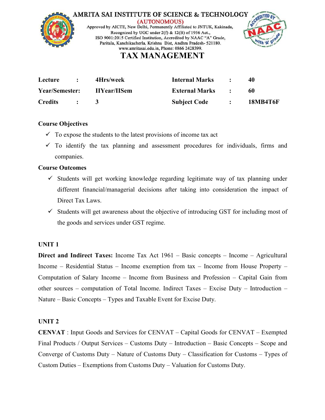



## **TAX MANAGEMENT**

| Lecture               | $\sim$ 1.000 $\sim$                                               | 4Hrs/week           | <b>Internal Marks</b>                              | $\mathbb{R}^n$ | 40              |
|-----------------------|-------------------------------------------------------------------|---------------------|----------------------------------------------------|----------------|-----------------|
| <b>Year/Semester:</b> |                                                                   | <b>IIYear/IISem</b> | <b>External Marks : :</b>                          |                | 60              |
| <b>Credits</b>        | $\mathcal{L} = \mathcal{L} \mathcal{L} = \mathcal{L} \mathcal{L}$ |                     | <b>Subject Code</b><br>$\sim$ $\sim$ $\sim$ $\sim$ |                | <b>18MB4T6F</b> |

## **Course Objectives**

- $\checkmark$  To expose the students to the latest provisions of income tax act
- $\checkmark$  To identify the tax planning and assessment procedures for individuals, firms and companies.

#### **Course Outcomes**

- $\checkmark$  Students will get working knowledge regarding legitimate way of tax planning under different financial/managerial decisions after taking into consideration the impact of Direct Tax Laws.
- $\checkmark$  Students will get awareness about the objective of introducing GST for including most of the goods and services under GST regime.

#### **UNIT 1**

**Direct and Indirect Taxes:** Income Tax Act 1961 – Basic concepts – Income – Agricultural Income – Residential Status – Income [exemption](http://amritasai.org/1.html) from tax – Income from House Property – Computation of Salary Income – Income from Business and Profession – CapitalGain from other sources – computation of Total Income. Indirect Taxes – Excise Duty – Introduction – Nature – Basic Concepts – Types and Taxable Event for Excise Duty.

## **UNIT 2**

**CENVAT** : Input Goods and Services for CENVAT – Capital Goods for CENVAT – Exempted Final Products / Output Services – Customs Duty – Introduction – Basic Concepts – Scope and Converge of Customs Duty – Nature of Customs Duty – Classification for Customs – Types of Custom Duties – Exemptions from Customs Duty – Valuation for Customs Duty.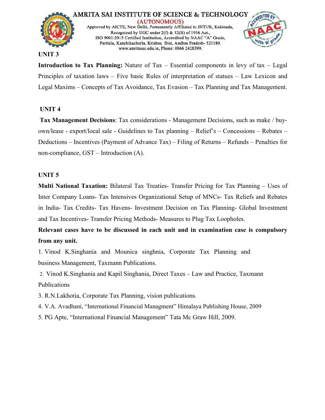

#### **UNIT 3**

**Introduction to Tax Planning:** Nature of Tax – Essential components in levy of tax – Legal Principles of taxation laws – Five basic Rules of interpretation of statues – Law Lexicon and Legal Maxims – Concepts of Tax Avoidance, Tax Evasion – Tax Planning and Tax Management.

#### **UNIT 4**

**Tax Management Decisions**: Tax considerations - Management Decisions, such as make / buy own/lease - export/local sale - Guidelines to Tax planning – Relief's – Concessions – Rebates – Deductions – Incentives (Payment of Advance Tax) – Filing of Returns – Refunds – Penalties for non-compliance, GST – Introduction (A).

#### **UNIT 5**

**Multi National Taxation:** Bilateral Tax Treaties- Transfer Pricing for Tax Planning – Uses of Inter Company Loans- Tax Intensives Organizational Setup of MNCs- Tax Reliefs and Rebates in India- Tax Credits- Tax Havens- Investment Decision on Tax Planning- Global Investment and Tax Incentives- Transfer Pricing Methods- Measures to Plug Tax Loopholes.

**Relevant cases have to be discussed in each unit and in examination case iscompulsory from any unit.**

1. Vinod K.Singhania and Mounica singhnia, Corporate Tax Planning and business Management, Taxmann [Publications.](http://amritasai.org/1.html)

2. Vinod K.Singhania and Kapil Singhania, Direct Taxes – Law and Practice, Taxmann Publications

3. R.N.Lakhotia, Corporate Tax Planning, vision publications.

4. V.A. Avadhani, "International Financial Managment" Himalaya Publishing House, 2009

5. PG Apte, "International Financial Management" Tata Mc Graw Hill, 2009.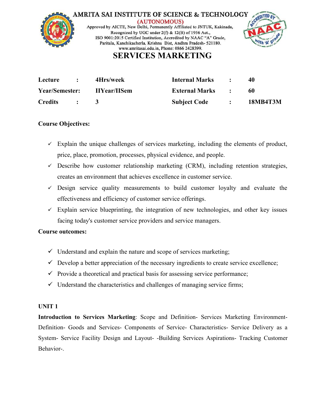



## **SERVICES MARKETING**

| Lecture               | 4Hrs/week           | <b>Internal Marks</b> | 40              |
|-----------------------|---------------------|-----------------------|-----------------|
| <b>Year/Semester:</b> | <b>IIYear/IISem</b> | <b>External Marks</b> | 60              |
| <b>Credits</b>        |                     | <b>Subject Code</b>   | <b>18MB4T3M</b> |

## **Course Objectives:**

- $\checkmark$  Explain the unique challenges of services marketing, including the elements of product, price, place, promotion, processes, physical evidence, and people.
- $\checkmark$  Describe how customer relationship marketing (CRM), including retention strategies, creates an environment that achieves excellence in customer service.
- $\checkmark$  Design service quality measurements to build customer loyalty and evaluate the effectiveness and efficiency of customer service offerings.
- $\checkmark$  Explain service blueprinting, the integration of new technologies, and other key issues facing today's customer service providers and service managers.

#### **Course outcomes:**

- $\checkmark$  Understand and explain the nature and scope of services marketing;
- $\checkmark$  Develop a better appreciation of the necessary [ingredients](http://amritasai.org/1.html) to create service excellence;
- $\checkmark$  Provide a theoretical and practical basis for assessing service performance;
- $\checkmark$  Understand the characteristics and challenges of managing service firms;

#### **UNIT 1**

**Introduction to Services Marketing**: Scope and Definition- Services Marketing Environment- Definition- Goods and Services- Components of Service- Characteristics- Service Delivery as a System- Service Facility Design and Layout- -Building Services Aspirations- Tracking Customer Behavior-.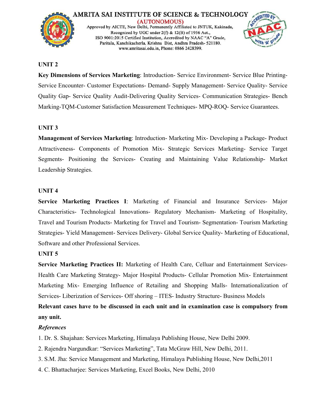



#### **UNIT 2**

**Key Dimensions of Services Marketing: Introduction- Service Environment- Service Blue Printing-**Service Encounter- Customer Expectations- Demand- Supply Management- Service Quality- Service Quality Gap- Service Quality Audit-Delivering Quality Services- Communication Strategies- Bench Marking-TQM-Customer Satisfaction Measurement Techniques- MPQ-ROQ- Service Guarantees.

#### **UNIT 3**

**Management of Services Marketing**: Introduction- Marketing Mix- Developing a Package- Product Attractiveness- Components of Promotion Mix- Strategic Services Marketing- Service Target Segments- Positioning the Services- Creating and Maintaining Value Relationship- Market Leadership Strategies.

#### **UNIT 4**

**Service Marketing Practices I**: Marketing of Financial and Insurance Services- Major Characteristics- Technological [Innovations-](http://amritasai.org/1.html) Regulatory Mechanism- Marketing of Hospitality, Travel and Tourism Products- Marketing for Travel and Tourism- Segmentation- Tourism Marketing Strategies- Yield Management- Services Delivery- Global Service Quality- Marketing of Educational, Software and other Professional Services.

#### **UNIT 5**

**Service Marketing Practices II:** Marketing of Health Care, Celluar and Entertainment Services- Health Care Marketing Strategy- Major Hospital Products- Cellular Promotion Mix- Entertainment Marketing Mix- Emerging Influence of Retailing and Shopping Malls-Internationalization of Services- Liberization of Services- Off shoring – ITES- Industry Structure- Business Models

**Relevant cases have to be discussed in each unit and in examination caseiscompulsory from any unit.**

- 1. Dr. S. Shajahan: Services Marketing, Himalaya Publishing House, New Delhi 2009.
- 2. Rajendra Nargundkar: "Services Marketing", Tata McGraw Hill, New Delhi, 2011.
- 3. S.M. Jha: Service Management and Marketing, Himalaya Publishing House, New Delhi,2011
- 4. C. Bhattacharjee: Services Marketing, Excel Books, New Delhi, 2010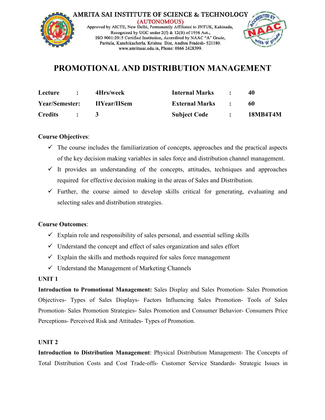

## **PROMOTIONAL AND DISTRIBUTION MANAGEMENT**

| Lecture        | 4Hrs/week           | <b>Internal Marks</b> | 40              |
|----------------|---------------------|-----------------------|-----------------|
| Year/Semester: | <b>IIYear/IISem</b> | <b>External Marks</b> | 60              |
| <b>Credits</b> |                     | <b>Subject Code</b>   | <b>18MB4T4M</b> |

## **Course Objectives**:

- $\checkmark$  The course includes the familiarization of concepts, approaches and the practical aspects of the key decision making variables in sales force and distribution channel management.
- $\checkmark$  It provides an understanding of the concepts, attitudes, techniques and approaches required for effective decision making in the areas of Sales and Distribution.
- $\checkmark$  Further, the course aimed to develop skills critical for generating, evaluating and selecting sales and distribution strategies.

## **Course Outcomes**:

- $\checkmark$  Explain role and responsibility of sales personal, and essential selling skills
- $\checkmark$  Understand the concept and effect of sales [organization](http://amritasai.org/1.html) and sales effort
- $\checkmark$  Explain the skills and methods required for sales force management
- $\checkmark$  Understand the Management of Marketing Channels

#### **UNIT 1**

**Introduction to Promotional Management:** Sales Display and Sales Promotion- Sales Promotion Objectives- Types of Sales Displays- Factors Influencing Sales Promotion- Tools of Sales Promotion- Sales Promotion Strategies- Sales Promotion and Consumer Behavior- Consumers Price Perceptions- Perceived Risk and Attitudes- Types of Promotion.

#### **UNIT 2**

**Introduction to Distribution Management**: Physical Distribution Management- The Concepts of Total Distribution Costs and Cost Trade-offs- Customer Service Standards- Strategic Issues in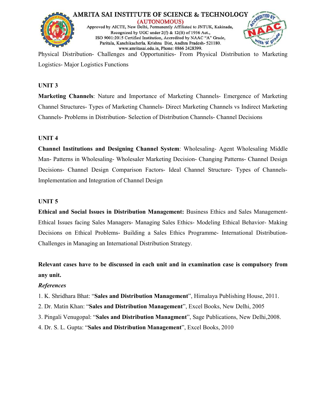



Physical Distribution- Challenges and Opportunities- From Physical Distribution to Marketing Logistics- Major Logistics Functions

## **UNIT 3**

**Marketing Channels**: Nature and Importance of Marketing Channels- Emergence of Marketing Channel Structures- Types of Marketing Channels- Direct Marketing Channels vs Indirect Marketing Channels- Problems in Distribution- Selection of Distribution Channels- Channel Decisions

## **UNIT 4**

**Channel Institutions and Designing Channel System**: Wholesaling- Agent Wholesaling Middle Man- Patterns in Wholesaling- Wholesaler Marketing Decision- Changing Patterns- Channel Design Decisions- Channel Design Comparison Factors- Ideal Channel Structure- Types of Channels-Implementation and Integration of Channel Design

## **UNIT 5**

**Ethical and Social Issues in Distribution [Management:](http://amritasai.org/1.html)** Business Ethics and Sales Management- Ethical Issues facing Sales Managers- Managing Sales Ethics- Modeling Ethical Behavior- Making Decisions on Ethical Problems- Building a Sales Ethics Programme- International Distribution- Challenges in Managing an International Distribution Strategy.

**Relevant cases have to be discussed in each unit and in examination caseiscompulsory from any unit.**

- 1. K. Shridhara Bhat: "**Sales and Distribution Management**", Himalaya Publishing House, 2011.
- 2. Dr. Matin Khan: "**Sales and Distribution Management**", Excel Books, New Delhi, 2005
- 3. Pingali Venugopal: "**Sales and Distribution Managment**", Sage Publications, New Delhi,2008.
- 4. Dr. S. L. Gupta: "**Sales and Distribution Management**", Excel Books, 2010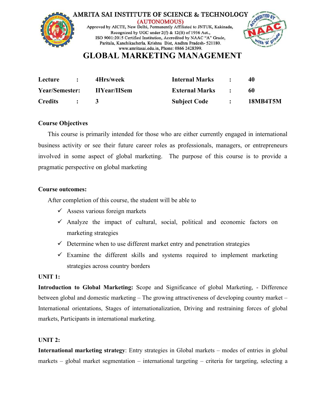



## **GLOBAL MARKETING MANAGEMENT**

| Lecture        | 4Hrs/week           | <b>Internal Marks</b> | 40              |
|----------------|---------------------|-----------------------|-----------------|
| Year/Semester: | <b>IIYear/IISem</b> | <b>External Marks</b> | 60              |
| <b>Credits</b> |                     | <b>Subject Code</b>   | <b>18MB4T5M</b> |

## **Course Objectives**

This course is primarily intended for those who are either currently engaged in international business activity or see their future career roles as professionals, managers, or entrepreneurs involved in some aspect of global marketing. The purpose of this course is to provide a pragmatic perspective on global marketing

#### **Course outcomes:**

After completion of this course, the student will be able to

- $\checkmark$  Assess various foreign markets
- $\checkmark$  Analyze the impact of cultural, social, political and economic factors on marketing strategies
- $\checkmark$  Determine when to use [different](http://amritasai.org/1.html) market entry and penetration strategies
- $\checkmark$  Examine the different skills and systems required to implement marketing strategies across country borders

#### **UNIT 1:**

**Introduction to Global Marketing:** Scope and Significance of global Marketing, - Difference between global and domestic marketing  $-$  The growing attractiveness of developing country market  $-$ International orientations, Stages of internationalization, Driving and restraining forces of global markets, Participants in international marketing.

#### **UNIT 2:**

**International marketing strategy**: Entry strategies in Global markets – modes of entries in global markets – global market segmentation – international targeting – criteria for targeting, selecting a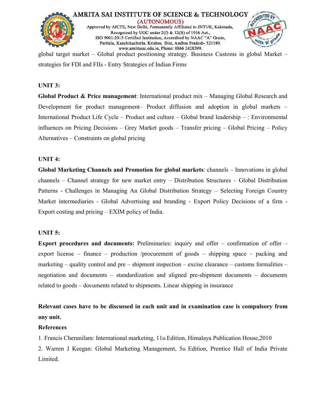



global target market – Global product positioning strategy. Business Customs in global Market – strategies for FDI and FIIs - Entry Strategies of Indian Firms

#### **UNIT 3:**

**Global Product & Price management**: International product mix – Managing Global Research and Development for product management– Product diffusion and adoption in global markets – International Product Life Cycle – Product and culture – Global brand leadership – : Environmental influences on Pricing Decisions – Grey Market goods – Transfer pricing – Global Pricing – Policy Alternatives – Constraints on global pricing

#### **UNIT 4:**

**Global Marketing Channels and Promotion for global markets**: channels – Innovations in global channels – Channel strategy for new market entry – Distribution Structures – Global Distribution Patterns - Challenges in Managing An Global Distribution Strategy – Selecting Foreign Country Market intermediaries - Global Advertising and branding - Export Policy Decisions of a firm - Export costing and pricing – EXIM policy of India.

#### **UNIT 5:**

**Export procedures and documents:** [Preliminaries:](http://amritasai.org/1.html) inquiry and offer – confirmation of offer – export license – finance – production /procurement of goods – shipping space – packing and marketing – quality control and pre – shipment inspection – excise clearance – customs formalities – negotiation and documents – standardization and aligned pre-shipment documents – documents related to goods – documents related to shipments. Linear shipping in insurance

## **Relevant cases have to be discussed in each unit and in examination caseiscompulsory from any unit.**

#### **References**

1. Francis Cherunilam: International marketing, 11th Edition, Himalaya Publication House,2010

2. Warren J Keegan: Global Marketing Management, 5th Edition, Prentice Hall of India Private Limited.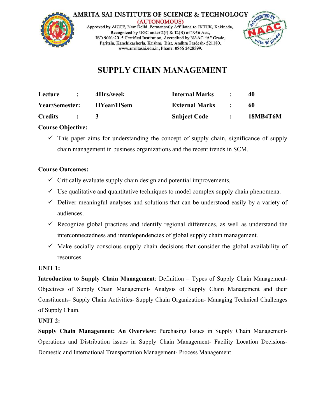



# **SUPPLY CHAIN MANAGEMENT**

| Lecture        | 4Hrs/week           | <b>Internal Marks</b> | 40              |
|----------------|---------------------|-----------------------|-----------------|
| Year/Semester: | <b>IIYear/IISem</b> | <b>External Marks</b> | 60              |
| <b>Credits</b> |                     | <b>Subject Code</b>   | <b>18MB4T6M</b> |

## **Course Objective:**

 $\checkmark$  This paper aims for understanding the concept of supply chain, significance of supply chain management in business organizations and the recent trends in SCM.

## **Course Outcomes:**

- $\checkmark$  Critically evaluate supply chain design and potential improvements,
- $\checkmark$  Use qualitative and quantitative techniques to model complex supply chain phenomena.
- $\checkmark$  Deliver meaningful analyses and solutions that can be understood easily by a variety of audiences.
- $\checkmark$  Recognize global practices and identify regional differences, as well as understand the interconnectedness and i[nterdependencies](http://amritasai.org/1.html) of global supply chain management.
- $\checkmark$  Make socially conscious supply chain decisions that consider the global availability of resources.

## **UNIT 1:**

**Introduction to Supply Chain Management**: Definition – Types of Supply Chain Management- Objectives of Supply Chain Management- Analysis of Supply Chain Management and their Constituents- Supply Chain Activities- Supply Chain Organization- Managing Technical Challenges of Supply Chain.

## **UNIT 2:**

**Supply Chain Management: An Overview:** Purchasing Issues in Supply Chain Management- Operations and Distribution issues in Supply Chain Management- Facility Location Decisions- Domestic and International Transportation Management- Process Management.